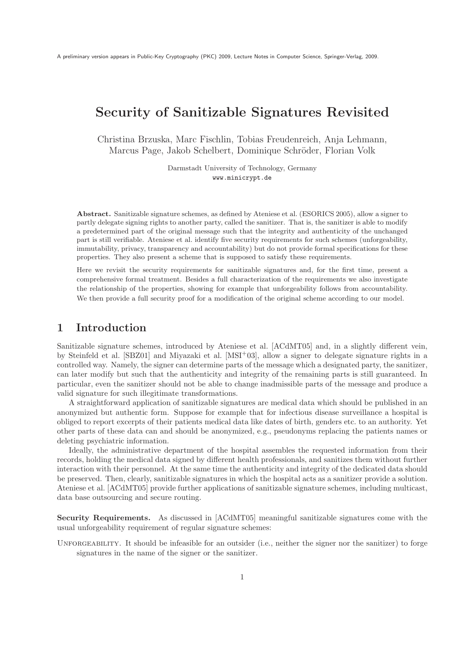# Security of Sanitizable Signatures Revisited

Christina Brzuska, Marc Fischlin, Tobias Freudenreich, Anja Lehmann, Marcus Page, Jakob Schelbert, Dominique Schröder, Florian Volk

> Darmstadt University of Technology, Germany www.minicrypt.de

Abstract. Sanitizable signature schemes, as defined by Ateniese et al. (ESORICS 2005), allow a signer to partly delegate signing rights to another party, called the sanitizer. That is, the sanitizer is able to modify a predetermined part of the original message such that the integrity and authenticity of the unchanged part is still verifiable. Ateniese et al. identify five security requirements for such schemes (unforgeability, immutability, privacy, transparency and accountability) but do not provide formal specifications for these properties. They also present a scheme that is supposed to satisfy these requirements.

Here we revisit the security requirements for sanitizable signatures and, for the first time, present a comprehensive formal treatment. Besides a full characterization of the requirements we also investigate the relationship of the properties, showing for example that unforgeability follows from accountability. We then provide a full security proof for a modification of the original scheme according to our model.

### 1 Introduction

Sanitizable signature schemes, introduced by Ateniese et al. [ACdMT05] and, in a slightly different vein, by Steinfeld et al. [SBZ01] and Miyazaki et al. [MSI<sup>+</sup>03], allow a signer to delegate signature rights in a controlled way. Namely, the signer can determine parts of the message which a designated party, the sanitizer, can later modify but such that the authenticity and integrity of the remaining parts is still guaranteed. In particular, even the sanitizer should not be able to change inadmissible parts of the message and produce a valid signature for such illegitimate transformations.

A straightforward application of sanitizable signatures are medical data which should be published in an anonymized but authentic form. Suppose for example that for infectious disease surveillance a hospital is obliged to report excerpts of their patients medical data like dates of birth, genders etc. to an authority. Yet other parts of these data can and should be anonymized, e.g., pseudonyms replacing the patients names or deleting psychiatric information.

Ideally, the administrative department of the hospital assembles the requested information from their records, holding the medical data signed by different health professionals, and sanitizes them without further interaction with their personnel. At the same time the authenticity and integrity of the dedicated data should be preserved. Then, clearly, sanitizable signatures in which the hospital acts as a sanitizer provide a solution. Ateniese et al. [ACdMT05] provide further applications of sanitizable signature schemes, including multicast, data base outsourcing and secure routing.

Security Requirements. As discussed in [ACdMT05] meaningful sanitizable signatures come with the usual unforgeability requirement of regular signature schemes:

UNFORGEABILITY. It should be infeasible for an outsider (i.e., neither the signer nor the sanitizer) to forge signatures in the name of the signer or the sanitizer.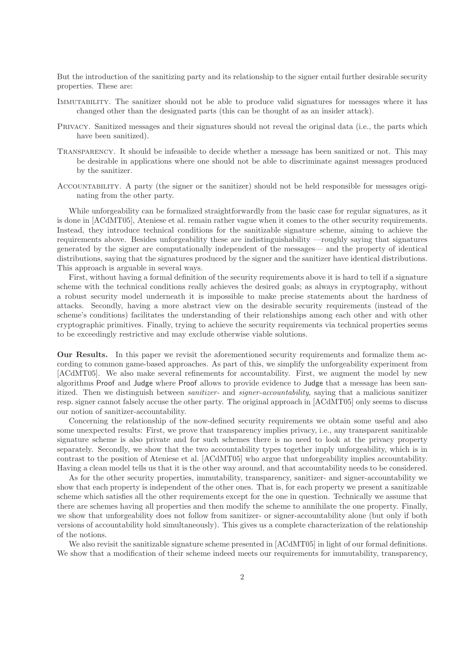But the introduction of the sanitizing party and its relationship to the signer entail further desirable security properties. These are:

- Immutability. The sanitizer should not be able to produce valid signatures for messages where it has changed other than the designated parts (this can be thought of as an insider attack).
- Privacy. Sanitized messages and their signatures should not reveal the original data (i.e., the parts which have been sanitized).
- Transparency. It should be infeasible to decide whether a message has been sanitized or not. This may be desirable in applications where one should not be able to discriminate against messages produced by the sanitizer.
- Accountability. A party (the signer or the sanitizer) should not be held responsible for messages originating from the other party.

While unforgeability can be formalized straightforwardly from the basic case for regular signatures, as it is done in [ACdMT05], Ateniese et al. remain rather vague when it comes to the other security requirements. Instead, they introduce technical conditions for the sanitizable signature scheme, aiming to achieve the requirements above. Besides unforgeability these are indistinguishability —roughly saying that signatures generated by the signer are computationally independent of the messages— and the property of identical distributions, saying that the signatures produced by the signer and the sanitizer have identical distributions. This approach is arguable in several ways.

First, without having a formal definition of the security requirements above it is hard to tell if a signature scheme with the technical conditions really achieves the desired goals; as always in cryptography, without a robust security model underneath it is impossible to make precise statements about the hardness of attacks. Secondly, having a more abstract view on the desirable security requirements (instead of the scheme's conditions) facilitates the understanding of their relationships among each other and with other cryptographic primitives. Finally, trying to achieve the security requirements via technical properties seems to be exceedingly restrictive and may exclude otherwise viable solutions.

Our Results. In this paper we revisit the aforementioned security requirements and formalize them according to common game-based approaches. As part of this, we simplify the unforgeability experiment from [ACdMT05]. We also make several refinements for accountability. First, we augment the model by new algorithms Proof and Judge where Proof allows to provide evidence to Judge that a message has been sanitized. Then we distinguish between *sanitizer*- and *signer-accountability*, saying that a malicious sanitizer resp. signer cannot falsely accuse the other party. The original approach in [ACdMT05] only seems to discuss our notion of sanitizer-accountability.

Concerning the relationship of the now-defined security requirements we obtain some useful and also some unexpected results: First, we prove that transparency implies privacy, i.e., any transparent sanitizable signature scheme is also private and for such schemes there is no need to look at the privacy property separately. Secondly, we show that the two accountability types together imply unforgeability, which is in contrast to the position of Ateniese et al. [ACdMT05] who argue that unforgeability implies accountability. Having a clean model tells us that it is the other way around, and that accountability needs to be considered.

As for the other security properties, immutability, transparency, sanitizer- and signer-accountability we show that each property is independent of the other ones. That is, for each property we present a sanitizable scheme which satisfies all the other requirements except for the one in question. Technically we assume that there are schemes having all properties and then modify the scheme to annihilate the one property. Finally, we show that unforgeability does not follow from sanitizer- or signer-accountability alone (but only if both versions of accountability hold simultaneously). This gives us a complete characterization of the relationship of the notions.

We also revisit the sanitizable signature scheme presented in [ACdMT05] in light of our formal definitions. We show that a modification of their scheme indeed meets our requirements for immutability, transparency,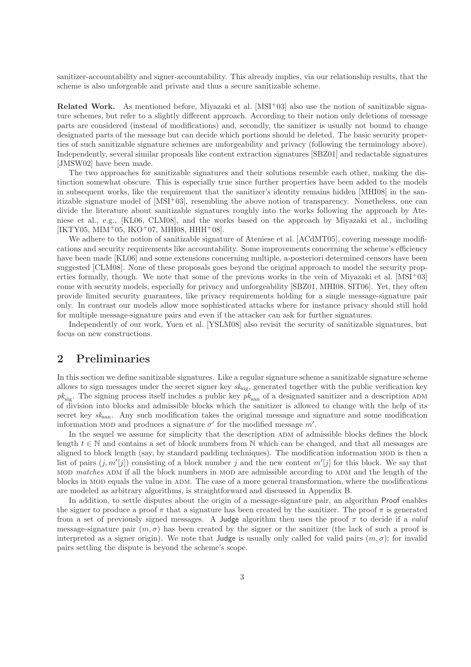sanitizer-accountability and signer-accountability. This already implies, via our relationship results, that the scheme is also unforgeable and private and thus a secure sanitizable scheme.

**Related Work.** As mentioned before, Miyazaki et al.  $[MSI<sup>+</sup>03]$  also use the notion of sanitizable signature schemes, but refer to a slightly different approach. According to their notion only deletions of message parts are considered (instead of modifications) and, secondly, the sanitizer is usually not bound to change designated parts of the message but can decide which portions should be deleted. The basic security properties of such sanitizable signature schemes are unforgeability and privacy (following the terminology above). Independently, several similar proposals like content extraction signatures [SBZ01] and redactable signatures [JMSW02] have been made.

The two approaches for sanitizable signatures and their solutions resemble each other, making the distinction somewhat obscure. This is especially true since further properties have been added to the models in subsequent works, like the requirement that the sanitizer's identity remains hidden [MHI08] in the sanitizable signature model of  $[MSI^+03]$ , resembling the above notion of transparency. Nonetheless, one can divide the literature about sanitizable signatures roughly into the works following the approach by Ateniese et al., e.g., [KL06, CLM08], and the works based on the approach by Miyazaki et al., including  $[IKTY05, MIM<sup>+</sup>05, IKO<sup>+</sup>07, MHI08, HHH<sup>+</sup>08].$ 

We adhere to the notion of sanitizable signature of Ateniese et al. [ACdMT05], covering message modifications and security requirements like accountability. Some improvements concerning the scheme's efficiency have been made [KL06] and some extensions concerning multiple, a-posteriori determined censors have been suggested [CLM08]. None of these proposals goes beyond the original approach to model the security properties formally, though. We note that some of the previous works in the vein of Miyazaki et al.  $[MST^+03]$ come with security models, especially for privacy and unforgeability [SBZ01, MHI08, SIT06]. Yet, they often provide limited security guarantees, like privacy requirements holding for a single message-signature pair only. In contrast our models allow more sophisticated attacks where for instance privacy should still hold for multiple message-signature pairs and even if the attacker can ask for further signatures.

Independently of our work, Yuen et al. [YSLM08] also revisit the security of sanitizable signatures, but focus on new constructions.

### 2 Preliminaries

In this section we define sanitizable signatures. Like a regular signature scheme a sanitizable signature scheme allows to sign messages under the secret signer key  $sk_{sig}$ , generated together with the public verification key  $pk_{\text{sig}}$ . The signing process itself includes a public key  $pk_{\text{san}}$  of a designated sanitizer and a description ADM of division into blocks and admissible blocks which the sanitizer is allowed to change with the help of its secret key  $sk_{\text{san}}$ . Any such modification takes the original message and signature and some modification information MOD and produces a signature  $\sigma'$  for the modified message  $m'$ .

In the sequel we assume for simplicity that the description ADM of admissible blocks defines the block length  $t \in \mathbb{N}$  and contains a set of block numbers from  $\mathbb N$  which can be changed, and that all messages are aligned to block length (say, by standard padding techniques). The modification information mod is then a list of pairs  $(j, m'[j])$  consisting of a block number j and the new content  $m'[j]$  for this block. We say that mod matches adm if all the block numbers in mod are admissible according to adm and the length of the blocks in mod equals the value in adm. The case of a more general transformation, where the modifications are modeled as arbitrary algorithms, is straightforward and discussed in Appendix B.

In addition, to settle disputes about the origin of a message-signature pair, an algorithm Proof enables the signer to produce a proof  $\pi$  that a signature has been created by the sanitizer. The proof  $\pi$  is generated from a set of previously signed messages. A Judge algorithm then uses the proof  $\pi$  to decide if a valid message-signature pair  $(m, \sigma)$  has been created by the signer or the sanitizer (the lack of such a proof is interpreted as a signer origin). We note that Judge is usually only called for valid pairs  $(m, \sigma)$ ; for invalid pairs settling the dispute is beyond the scheme's scope.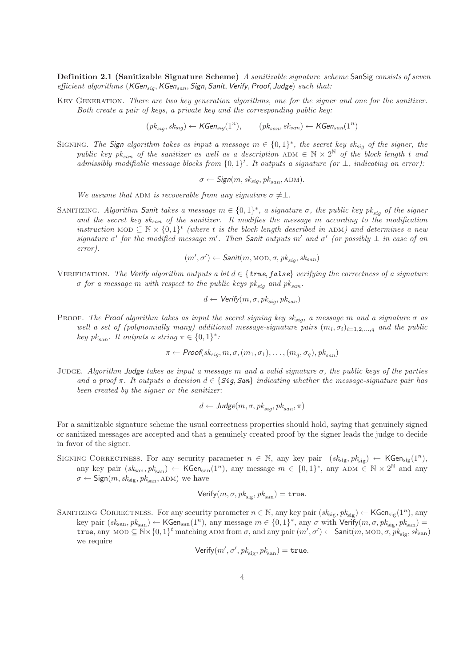Definition 2.1 (Sanitizable Signature Scheme) A sanitizable signature scheme SanSig consists of seven efficient algorithms (KGen<sub>sig</sub>, KGen<sub>san</sub>, Sign, Sanit, Verify, Proof, Judge) such that:

KEY GENERATION. There are two key generation algorithms, one for the signer and one for the sanitizer. Both create a pair of keys, a private key and the corresponding public key:

 $(pk_{sig}, sk_{sig}) \leftarrow \textit{KGen}_{sig}(1^n), \qquad (pk_{san}, sk_{san}) \leftarrow \textit{KGen}_{san}(1^n)$ 

SIGNING. The Sign algorithm takes as input a message  $m \in \{0,1\}^*$ , the secret key sk<sub>sig</sub> of the signer, the public key  $pk_{san}$  of the sanitizer as well as a description  $ADM \in N \times 2^N$  of the block length t and admissibly modifiable message blocks from  $\{0,1\}^t$ . It outputs a signature (or  $\perp$ , indicating an error):

$$
\sigma \leftarrow \textit{Sign}(m, \textit{sk}_{\textit{sig}}, \textit{pk}_{\textit{san}}, \textit{ADM}).
$$

We assume that ADM is recoverable from any signature  $\sigma \neq \perp$ .

SANITIZING. Algorithm Sanit takes a message  $m \in \{0,1\}^*$ , a signature  $\sigma$ , the public key p $k_{sig}$  of the signer and the secret key  $sk_{san}$  of the sanitizer. It modifies the message m according to the modification instruction MOD  $\subseteq \mathbb{N} \times \{0,1\}^t$  (where t is the block length described in ADM) and determines a new signature  $\sigma'$  for the modified message m'. Then Sanit outputs m' and  $\sigma'$  (or possibly  $\perp$  in case of an error).

$$
(m', \sigma') \leftarrow \text{Sanit}(m, \text{MOD}, \sigma, \text{pk}_{\text{sig}}, \text{sk}_{\text{san}})
$$

VERIFICATION. The Verify algorithm outputs a bit  $d \in \{ \text{true}, \text{false} \}$  verifying the correctness of a signature σ for a message m with respect to the public keys  $pk_{siq}$  and  $pk_{san}$ .

$$
d \leftarrow \text{Verify}(m, \sigma, \text{pk}_{\text{sig}}, \text{pk}_{\text{san}})
$$

PROOF. The Proof algorithm takes as input the secret signing key sk<sub>sig</sub>, a message m and a signature  $\sigma$  as well a set of (polynomially many) additional message-signature pairs  $(m_i, \sigma_i)_{i=1,2,\dots,q}$  and the public key p $k_{san}$ . It outputs a string  $\pi \in \{0,1\}^*$ :

$$
\pi \leftarrow \text{Proof}(sk_{sig}, m, \sigma, (m_1, \sigma_1), \dots, (m_q, \sigma_q), pk_{san})
$$

JUDGE. Algorithm Judge takes as input a message m and a valid signature  $\sigma$ , the public keys of the parties and a proof  $\pi$ . It outputs a decision  $d \in \{Sig, San\}$  indicating whether the message-signature pair has been created by the signer or the sanitizer:

$$
d \leftarrow \textit{Judge}(m, \sigma, \textit{pk}_{\textit{sig}}, \textit{pk}_{\textit{san}}, \pi)
$$

For a sanitizable signature scheme the usual correctness properties should hold, saying that genuinely signed or sanitized messages are accepted and that a genuinely created proof by the signer leads the judge to decide in favor of the signer.

SIGNING CORRECTNESS. For any security parameter  $n \in \mathbb{N}$ , any key pair  $(s_{\text{sig}}, p_{\text{sig}}) \leftarrow \text{KGen}_{\text{sig}}(1^n)$ , any key pair  $(sk_{\rm san}, p k_{\rm san}) \leftarrow \textsf{KGen}_{\rm san}(1^n)$ , any message  $m \in \{0, 1\}^*$ , any ADM  $\in \mathbb{N} \times 2^{\mathbb{N}}$  and any  $\sigma \leftarrow$  Sign $(m, sk_{\text{sig}}, pk_{\text{san}}, \text{ADM})$  we have

Verify
$$
(m, \sigma, pk_{\text{sig}}, pk_{\text{san}})
$$
 = true.

SANITIZING CORRECTNESS. For any security parameter  $n \in \mathbb{N}$ , any key pair  $(s k_{\text{sig}}, p k_{\text{sig}}) \leftarrow \text{KGen}_{\text{sig}}(1^n)$ , any key pair  $(s_{\text{stan}}, p_{\text{San}}) \leftarrow \text{KGen}_{\text{san}}(1^n)$ , any message  $m \in \{0, 1\}^*$ , any  $\sigma$  with Verify $(m, \sigma, p_{\text{sig}}, p_{\text{San}}) =$ true, any MOD  $\subseteq N \times \{0,1\}^t$  matching ADM from  $\sigma$ , and any pair  $(m', \sigma') \leftarrow$  Sanit $(m, \text{MOD}, \sigma, pk_{\text{sig}}, sk_{\text{san}})$ we require

$$
\mathsf{Verify}(m',\sigma', \mathit{pk}_{\mathit{sig}}, \mathit{pk}_{\mathit{san}}) = \mathtt{true}.
$$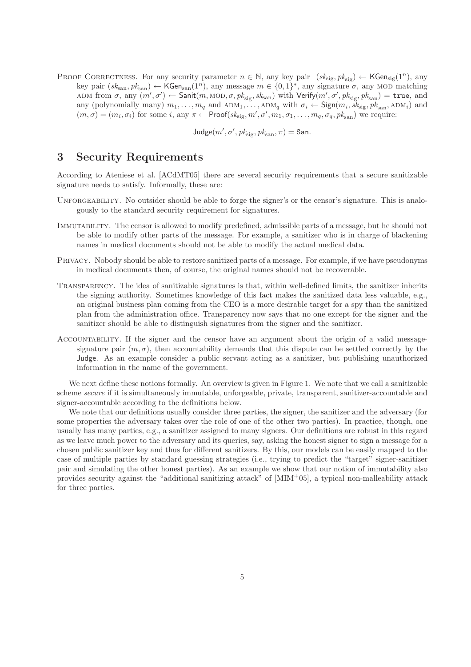PROOF CORRECTNESS. For any security parameter  $n \in \mathbb{N}$ , any key pair  $(s k_{sig}, p k_{sig}) \leftarrow \mathsf{KGen}_{sig}(1^n)$ , any key pair  $(s_{\text{fsan}}, p_{\text{fsan}}) \leftarrow \text{KGen}_{\text{san}}(1^n)$ , any message  $m \in \{0, 1\}^*$ , any signature  $\sigma$ , any MOD matching ADM from  $\sigma$ , any  $(m', \sigma') \leftarrow$  Sanit $(m, \text{MOD}, \sigma, pk_{\text{sig}}, sk_{\text{san}})$  with Verify $(m', \sigma', pk_{\text{sig}}, pk_{\text{san}}) =$  true, and any (polynomially many)  $m_1, \ldots, m_q$  and  $ADM_1, \ldots, ADM_q$  with  $\sigma_i \leftarrow$  Sign $(m_i, s k_{\text{sig}}, p k_{\text{san}}, ADM_i)$  and  $(m, \sigma) = (m_i, \sigma_i)$  for some i, any  $\pi \leftarrow \text{Proof}(sk_{\text{sig}}, m', \sigma', m_1, \sigma_1, \ldots, m_q, \sigma_q, pk_{\text{san}})$  we require:

 $\textsf{Judge}(m',\sigma', \textit{pk}_{\text{sig}}, \textit{pk}_{\text{san}}, \pi) = \texttt{San}.$ 

### 3 Security Requirements

According to Ateniese et al. [ACdMT05] there are several security requirements that a secure sanitizable signature needs to satisfy. Informally, these are:

- UNFORGEABILITY. No outsider should be able to forge the signer's or the censor's signature. This is analogously to the standard security requirement for signatures.
- Immutability. The censor is allowed to modify predefined, admissible parts of a message, but he should not be able to modify other parts of the message. For example, a sanitizer who is in charge of blackening names in medical documents should not be able to modify the actual medical data.
- Privacy. Nobody should be able to restore sanitized parts of a message. For example, if we have pseudonyms in medical documents then, of course, the original names should not be recoverable.
- Transparency. The idea of sanitizable signatures is that, within well-defined limits, the sanitizer inherits the signing authority. Sometimes knowledge of this fact makes the sanitized data less valuable, e.g., an original business plan coming from the CEO is a more desirable target for a spy than the sanitized plan from the administration office. Transparency now says that no one except for the signer and the sanitizer should be able to distinguish signatures from the signer and the sanitizer.
- Accountability. If the signer and the censor have an argument about the origin of a valid messagesignature pair  $(m, \sigma)$ , then accountability demands that this dispute can be settled correctly by the Judge. As an example consider a public servant acting as a sanitizer, but publishing unauthorized information in the name of the government.

We next define these notions formally. An overview is given in Figure 1. We note that we call a sanitizable scheme secure if it is simultaneously immutable, unforgeable, private, transparent, sanitizer-accountable and signer-accountable according to the definitions below.

We note that our definitions usually consider three parties, the signer, the sanitizer and the adversary (for some properties the adversary takes over the role of one of the other two parties). In practice, though, one usually has many parties, e.g., a sanitizer assigned to many signers. Our definitions are robust in this regard as we leave much power to the adversary and its queries, say, asking the honest signer to sign a message for a chosen public sanitizer key and thus for different sanitizers. By this, our models can be easily mapped to the case of multiple parties by standard guessing strategies (i.e., trying to predict the "target" signer-sanitizer pair and simulating the other honest parties). As an example we show that our notion of immutability also provides security against the "additional sanitizing attack" of [MIM<sup>+</sup>05], a typical non-malleability attack for three parties.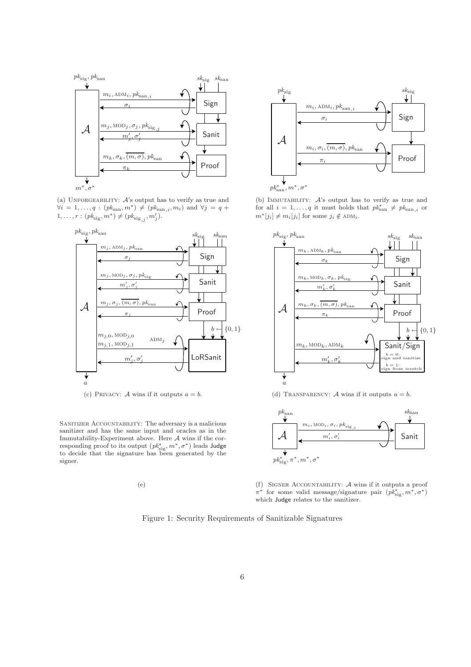#### replacements



(a) UNFORGEABILITY:  $A$ 's output has to verify as true and  $\forall i = 1, \ldots, q : (pk_{\text{san}}, m^*) \neq (pk_{\text{san},i}, m_i)$  and  $\forall j = q +$  $1, \ldots, r : (p k_{\text{sig}}, m^*) \neq (p k_{\text{sig},j}, m'_j).$ 



SANITIZER ACCOUNTABILITY: The adversary is a malicious sanitizer and has the same input and oracles as in the Immutability-Experiment above. Here A wins if the corresponding proof to its output  $\left(\mathit{pk}^*_{\text{sig}}, m^*, \sigma^*\right)$  leads Judge to decide that the signature has been generated by the signer.

(e)

(b) IMMUTABILITY:  $A$ 's output has to verify as true and for all  $i = 1, \ldots, q$  it must holds that  $pk_{\text{san}}^* \neq pk_{\text{san},i}$  or  $m^*[j_i] \neq m_i[j_i]$  for some  $j_i \notin \text{ADM}_i$ .





(f) SIGNER ACCOUNTABILITY:  $A$  wins if it outputs a proof  $\pi^*$  for some valid message/signature pair  $(pk_{\text{sig}}^*, m^*, \sigma^*)$ which Judge relates to the sanitizer.

Figure 1: Security Requirements of Sanitizable Signatures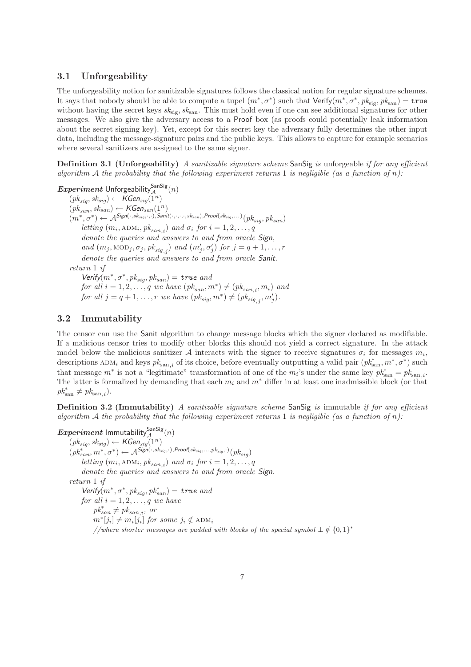#### 3.1 Unforgeability

The unforgeability notion for sanitizable signatures follows the classical notion for regular signature schemes. It says that nobody should be able to compute a tupel  $(m^*, \sigma^*)$  such that  $\mathsf{Verify}(m^*, \sigma^*, \mathit{pk}_{\text{sig}}, \mathit{pk}_{\text{san}}) = \mathtt{true}$ without having the secret keys  $sk_{\text{sig}}$ ,  $sk_{\text{san}}$ . This must hold even if one can see additional signatures for other messages. We also give the adversary access to a Proof box (as proofs could potentially leak information about the secret signing key). Yet, except for this secret key the adversary fully determines the other input data, including the message-signature pairs and the public keys. This allows to capture for example scenarios where several sanitizers are assigned to the same signer.

**Definition 3.1 (Unforgeability)** A sanitizable signature scheme SanSig is unforgeable if for any efficient algorithm A the probability that the following experiment returns 1 is negligible (as a function of n):

Experiment Unforgeability $\mathcal{S}_\mathcal{A}^{\textsf{Sang}}(n)$  $(pk_{sig}, sk_{sig}) \leftarrow KGen_{sig}(1^n)$  $(pk_{san}, sk_{san}) \leftarrow {\textit{KGen}}_{san}(1^n)$  $(m^*,\sigma^*) \leftarrow \mathcal{A}^{\mathsf{Sign}(\cdot,sk_{sig},\cdot,\cdot),\mathsf{Sanit}(\cdot,\cdot,\cdot,\cdot,sk_{san}),\mathsf{Proof}(sk_{sig},\dots)}(pk_{sig},pk_{san})$ letting  $(m_i, \text{ADM}_i, pk_{san,i})$  and  $\sigma_i$  for  $i = 1, 2, ..., q$ denote the queries and answers to and from oracle Sign, and  $(m_j, \text{MOD}_j, \sigma_j, \text{pk}_{sig_j})$  and  $(m'_j, \sigma'_j)$  for  $j = q + 1, \ldots, r$ denote the queries and answers to and from oracle Sanit. return 1 if  $Verify(m^*, \sigma^*, pk_{sig}, pk_{san}) = true$  and for all  $i = 1, 2, ..., q$  we have  $(pk_{san}, m^*) \neq (pk_{san,i}, m_i)$  and for all  $j = q + 1, \ldots, r$  we have  $(pk_{sig}, m^*) \neq (pk_{sig,j}, m'_j)$ .

### 3.2 Immutability

The censor can use the Sanit algorithm to change message blocks which the signer declared as modifiable. If a malicious censor tries to modify other blocks this should not yield a correct signature. In the attack model below the malicious sanitizer  $A$  interacts with the signer to receive signatures  $\sigma_i$  for messages  $m_i$ , descriptions  $ADM_i$  and keys  $pk_{san,i}$  of its choice, before eventually outputting a valid pair  $(pk_{san}^*, m^*, \sigma^*)$  such that message  $m^*$  is not a "legitimate" transformation of one of the  $m_i$ 's under the same key  $pk^*_{\text{san}} = pk_{\text{san},i}$ . The latter is formalized by demanding that each  $m_i$  and  $m^*$  differ in at least one inadmissible block (or that  $pk_{\text{san}}^* \neq pk_{\text{san},i}$ .

**Definition 3.2 (Immutability)** A sanitizable signature scheme SanSig is immutable if for any efficient algorithm A the probability that the following experiment returns 1 is negligible (as a function of n):

Experiment Immutability ${}_{\mathcal{A}}^{\mathsf{SanSig}}(n)$  $(pk_{sig}, sk_{sig}) \leftarrow KGen_{sig}(1^n)$  $(pk_{san}^*, m^*, \sigma^*) \leftarrow \mathcal{A}^{\mathit{Sign}(\cdot, sk_{sig},\cdot), \mathit{Proof}(sk_{sig},...,pk_{sig},\cdot)}(pk_{sig})$ letting  $(m_i, \text{ADM}_i, pk_{san,i})$  and  $\sigma_i$  for  $i = 1, 2, ..., q$ denote the queries and answers to and from oracle Sign. return 1 if  $Verify(m^*, \sigma^*, pk_{sig}, pk_{san}^*) = true$  and for all  $i = 1, 2, \ldots, q$  we have  $pk_{san}^* \neq pk_{san,i}$ , or  $m^*[j_i] \neq m_i[j_i]$  for some  $j_i \notin \text{ADM}_i$ //where shorter messages are padded with blocks of the special symbol  $\perp \notin \{0,1\}^*$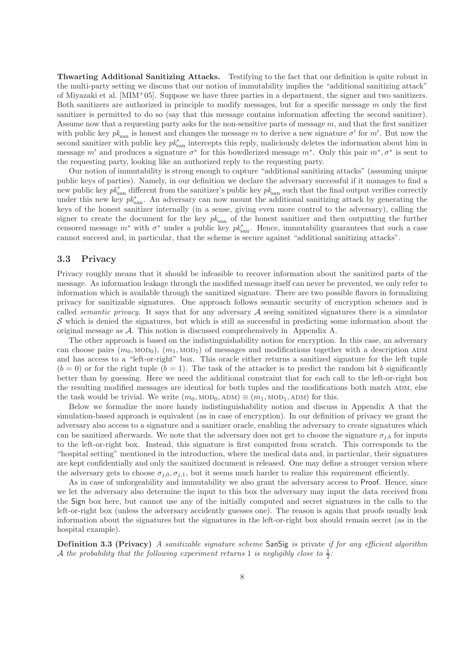Thwarting Additional Sanitizing Attacks. Testifying to the fact that our definition is quite robust in the multi-party setting we discuss that our notion of immutability implies the "additional sanitizing attack" of Miyazaki et al. [MIM<sup>+</sup>05]. Suppose we have three parties in a department, the signer and two sanitizers. Both sanitizers are authorized in principle to modify messages, but for a specific message m only the first sanitizer is permitted to do so (say that this message contains information affecting the second sanitizer). Assume now that a requesting party asks for the non-sensitive parts of message  $m$ , and that the first sanitizer with public key  $pk_{\text{san}}$  is honest and changes the message m to derive a new signature  $\sigma'$  for m'. But now the second sanitizer with public key  $pk_{\text{san}}^*$  intercepts this reply, maliciously deletes the information about him in message m' and produces a signature  $\sigma^*$  for this bowdlerized message  $m^*$ . Only this pair  $m^*, \sigma^*$  is sent to the requesting party, looking like an authorized reply to the requesting party.

Our notion of immutability is strong enough to capture "additional sanitizing attacks" (assuming unique public keys of parties). Namely, in our definition we declare the adversary successful if it manages to find a new public key  $pk_{\text{san}}^*$  different from the sanitizer's public key  $pk_{\text{san}}$  such that the final output verifies correctly under this new key  $pk_{\text{san}}^*$ . An adversary can now mount the additional sanitizing attack by generating the keys of the honest sanitizer internally (in a sense, giving even more control to the adversary), calling the signer to create the document for the key  $pk_{\text{san}}$  of the honest sanitizer and then outputting the further censored message  $m^*$  with  $\sigma^*$  under a public key  $pk^*_{\text{san}}$ . Hence, immutability guarantees that such a case cannot succeed and, in particular, that the scheme is secure against "additional sanitizing attacks".

#### 3.3 Privacy

Privacy roughly means that it should be infeasible to recover information about the sanitized parts of the message. As information leakage through the modified message itself can never be prevented, we only refer to information which is available through the sanitized signature. There are two possible flavors in formalizing privacy for sanitizable signatures. One approach follows semantic security of encryption schemes and is called *semantic privacy*. It says that for any adversary  $A$  seeing sanitized signatures there is a simulator  $S$  which is denied the signatures, but which is still as successful in predicting some information about the original message as A. This notion is discussed comprehensively in Appendix A.

The other approach is based on the indistinguishability notion for encryption. In this case, an adversary can choose pairs  $(m_0, \text{MOD}_0), (m_1, \text{MOD}_1)$  of messages and modifications together with a description ADM and has access to a "left-or-right" box. This oracle either returns a sanitized signature for the left tuple  $(b = 0)$  or for the right tuple  $(b = 1)$ . The task of the attacker is to predict the random bit b significantly better than by guessing. Here we need the additional constraint that for each call to the left-or-right box the resulting modified messages are identical for both tuples and the modifications both match ADM, else the task would be trivial. We write  $(m_0, \text{MOD}_0, \text{ADM}) \equiv (m_1, \text{MOD}_1, \text{ADM})$  for this.

Below we formalize the more handy indistinguishability notion and discuss in Appendix A that the simulation-based approach is equivalent (as in case of encryption). In our definition of privacy we grant the adversary also access to a signature and a sanitizer oracle, enabling the adversary to create signatures which can be sanitized afterwards. We note that the adversary does not get to choose the signature  $\sigma_{i,b}$  for inputs to the left-or-right box. Instead, this signature is first computed from scratch. This corresponds to the "hospital setting" mentioned in the introduction, where the medical data and, in particular, their signatures are kept confidentially and only the sanitized document is released. One may define a stronger version where the adversary gets to choose  $\sigma_{i,0}, \sigma_{i,1}$ , but it seems much harder to realize this requirement efficiently.

As in case of unforgeability and immutability we also grant the adversary access to Proof. Hence, since we let the adversary also determine the input to this box the adversary may input the data received from the Sign box here, but cannot use any of the initially computed and secret signatures in the calls to the left-or-right box (unless the adversary accidently guesses one). The reason is again that proofs usually leak information about the signatures but the signatures in the left-or-right box should remain secret (as in the hospital example).

Definition 3.3 (Privacy) A sanitizable signature scheme SanSig is private if for any efficient algorithm A the probability that the following experiment returns 1 is negligibly close to  $\frac{1}{2}$ :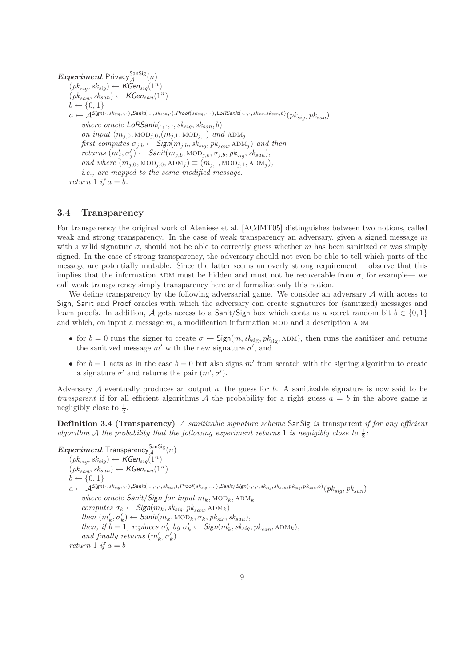Experiment Privacy $_{\mathcal{A}}^{\mathsf{Sansig}}(n)$  $(pk_{sig}, sk_{sig}) \leftarrow KGen_{sig}(1^n)$  $(pk_{san}, sk_{san}) \leftarrow KGen_{san}(1^n)$  $b \leftarrow \{0, 1\}$  $a \leftarrow \mathcal{\hat{A}}^{\mathcal{Sign}(\cdot,sk_{sig},\cdot,\cdot),\mathcal{S}\textit{anit}(\cdot,\cdot,\cdot,sk_{san},\cdot),\mathcal{P} \textit{roof}(sk_{sig},\cdots),\mathcal{L} \textit{oRS} \textit{anit}(\cdot,\cdot,\cdot,sk_{sig},sk_{san},b)}(pk_{sig},pk_{san})$ where oracle  $LoR\mathsf{Sanit}(\cdot,\cdot,\cdot,sk_{sig},sk_{san},b)$ on input  $(m_{j,0}, \text{MOD}_{j,0}, (m_{j,1}, \text{MOD}_{j,1})$  and  $\text{ADM}_j$ first computes  $\sigma_{i,b} \leftarrow$  Sign( $m_{i,b}$ , sk<sub>sig</sub>, pk<sub>san</sub>, ADM<sub>i</sub>) and then returns  $(m'_j, \sigma'_j) \leftarrow$  Sanit $(m_{j,b}, \text{MOD}_{j,b}, \sigma_{j,b}, \text{pk}_{sig}, sk_{san}),$ and where  $(m_{i,0}, \text{MOD}_{i,0}, \text{ADM}_i) \equiv (m_{i,1}, \text{MOD}_{i,1}, \text{ADM}_i),$ i.e., are mapped to the same modified message. return 1 if  $a = b$ .

### 3.4 Transparency

For transparency the original work of Ateniese et al. [ACdMT05] distinguishes between two notions, called weak and strong transparency. In the case of weak transparency an adversary, given a signed message m with a valid signature  $\sigma$ , should not be able to correctly guess whether m has been sanitized or was simply signed. In the case of strong transparency, the adversary should not even be able to tell which parts of the message are potentially mutable. Since the latter seems an overly strong requirement —observe that this implies that the information ADM must be hidden and must not be recoverable from  $\sigma$ , for example— we call weak transparency simply transparency here and formalize only this notion.

We define transparency by the following adversarial game. We consider an adversary  $A$  with access to Sign, Sanit and Proof oracles with which the adversary can create signatures for (sanitized) messages and learn proofs. In addition, A gets access to a Sanit/Sign box which contains a secret random bit  $b \in \{0,1\}$ and which, on input a message  $m$ , a modification information MOD and a description ADM

- for  $b = 0$  runs the signer to create  $\sigma \leftarrow \text{Sign}(m, sk_{\text{sig}}, pk_{\text{sig}}, \text{ADM})$ , then runs the sanitizer and returns the sanitized message  $m'$  with the new signature  $\sigma'$ , and
- for  $b = 1$  acts as in the case  $b = 0$  but also signs m' from scratch with the signing algorithm to create a signature  $\sigma'$  and returns the pair  $(m', \sigma')$ .

Adversary A eventually produces an output a, the guess for b. A sanitizable signature is now said to be transparent if for all efficient algorithms A the probability for a right guess  $a = b$  in the above game is negligibly close to  $\frac{1}{2}$ .

**Definition 3.4 (Transparency)** A sanitizable signature scheme SanSig is transparent if for any efficient algorithm A the probability that the following experiment returns 1 is negligibly close to  $\frac{1}{2}$ .

 $Experiment$  Transparency $^{\mathsf{Sansig}}_{\mathcal{A}}(n)$  $(pk_{sig}, sk_{sig}) \leftarrow KGen_{sig}(1^n)$  $(pk_{san}, sk_{san}) \leftarrow KGen_{san}(1^n)$  $b \leftarrow \{0, 1\}$  $a \leftarrow \mathcal{A}^{\mathsf{Sign}(\cdot, sk_{sig},\cdot,\cdot), \mathsf{Sanit}(\cdot,\cdot,\cdot,\cdot, sk_{san}), \mathsf{Proof}(sk_{sig},\dots), \mathsf{Sanit}/\mathsf{Sign}(\cdot,\cdot,\cdot, sk_{sig},sk_{san},pk_{sig},pk_{san},b)} \big(pk_{sig},pk_{san}\big)$ where oracle Sanit/Sign for input  $m_k$ , MOD<sub>k</sub>, ADM<sub>k</sub> computes  $\sigma_k \leftarrow$  Sign( $m_k$ , sk<sub>sig</sub>, pk<sub>san</sub>, ADM<sub>k</sub>) then  $(m'_k, \sigma'_k) \leftarrow$  Sanit $(m_k, \text{MOD}_k, \sigma_k, \text{pk}_{sig}, \text{sk}_{san}),$ then, if  $b = 1$ , replaces  $\sigma'_k$  by  $\sigma'_k \leftarrow$  Sign $(m'_k, sk_{sig}, pk_{san}, \text{ADM}_k)$ , and finally returns  $(m'_k, \sigma'_k)$ . return 1 if  $a = b$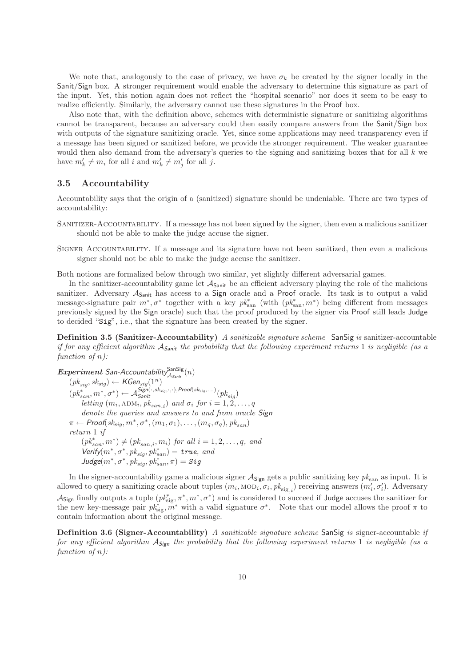We note that, analogously to the case of privacy, we have  $\sigma_k$  be created by the signer locally in the Sanit/Sign box. A stronger requirement would enable the adversary to determine this signature as part of the input. Yet, this notion again does not reflect the "hospital scenario" nor does it seem to be easy to realize efficiently. Similarly, the adversary cannot use these signatures in the Proof box.

Also note that, with the definition above, schemes with deterministic signature or sanitizing algorithms cannot be transparent, because an adversary could then easily compare answers from the Sanit/Sign box with outputs of the signature sanitizing oracle. Yet, since some applications may need transparency even if a message has been signed or sanitized before, we provide the stronger requirement. The weaker guarantee would then also demand from the adversary's queries to the signing and sanitizing boxes that for all  $k$  we have  $m'_k \neq m_i$  for all i and  $m'_k \neq m'_j$  for all j.

### 3.5 Accountability

Accountability says that the origin of a (sanitized) signature should be undeniable. There are two types of accountability:

- Sanitizer-Accountability. If a message has not been signed by the signer, then even a malicious sanitizer should not be able to make the judge accuse the signer.
- Signer Accountability. If a message and its signature have not been sanitized, then even a malicious signer should not be able to make the judge accuse the sanitizer.

Both notions are formalized below through two similar, yet slightly different adversarial games.

In the sanitizer-accountability game let  $A_{Sanit}$  be an efficient adversary playing the role of the malicious sanitizer. Adversary  $A_{Sanit}$  has access to a Sign oracle and a Proof oracle. Its task is to output a valid message-signature pair  $m^*, \sigma^*$  together with a key  $pk^*_{\text{san}}$  (with  $(pk^*_{\text{san}}, m^*)$  being different from messages previously signed by the Sign oracle) such that the proof produced by the signer via Proof still leads Judge to decided "Sig", i.e., that the signature has been created by the signer.

**Definition 3.5 (Sanitizer-Accountability)** A sanitizable signature scheme SanSig is sanitizer-accountable if for any efficient algorithm  $A_{S}$ <sub>anit</sub> the probability that the following experiment returns 1 is negligible (as a function of n):

 $Experiment$  San-Accountability $\frac{Sansis}{\mathcal{A}_{Sanit}}(n)$  $(pk_{sig}, sk_{sig}) \leftarrow KGen_{sig}(1^n)$  $\bigl(pk_{san}^*,m^*,\sigma^*\bigr) \leftarrow \mathcal{A}^{\mathsf{Sign}(\cdot,sk_{sig},\cdot,\cdot),\mathsf{Proof}(sk_{sig},\dots)}_{\mathsf{Santi}}\bigl(pk_{sig}\bigr)$ letting  $(m_i, \text{ADM}_i, pk_{san,i})$  and  $\sigma_i$  for  $i = 1, 2, ..., q$ denote the queries and answers to and from oracle Sign  $\pi \leftarrow \mathsf{Proof}(sk_{sig}, m^*, \sigma^*, (m_1, \sigma_1), \ldots, (m_q, \sigma_q), \mathit{pk}_{san})$ return 1 if  $(pk_{san}^*, m^*) \neq (pk_{san,i}, m_i)$  for all  $i = 1, 2, ..., q$ , and Verify $(m^*, \sigma^*, pk_{sig}^*, pk_{san}^*) = \textbf{true}$ , and  $Judge(m^*, \sigma^*, pk_{sig}^*, pk_{san}^*, \pi) = Sig$ 

In the signer-accountability game a malicious signer  $A_{Sign}$  gets a public sanitizing key  $pk_{san}$  as input. It is allowed to query a sanitizing oracle about tuples  $(m_i, \text{MOD}_i, \sigma_i, \text{pk}_{\text{sig},i})$  receiving answers  $(m'_i, \sigma'_i)$ . Adversary  $\mathcal{A}_{Sign}$  finally outputs a tuple  $(pk_{sig}^*, \pi^*, m^*, \sigma^*)$  and is considered to succeed if Judge accuses the sanitizer for the new key-message pair  $pk_{\text{sig}}^*$ ,  $m^*$  with a valid signature  $\sigma^*$ . Note that our model allows the proof  $\pi$  to contain information about the original message.

**Definition 3.6 (Signer-Accountability)** A sanitizable signature scheme SanSig is signer-accountable if for any efficient algorithm  $A_{Sien}$  the probability that the following experiment returns 1 is negligible (as a function of n):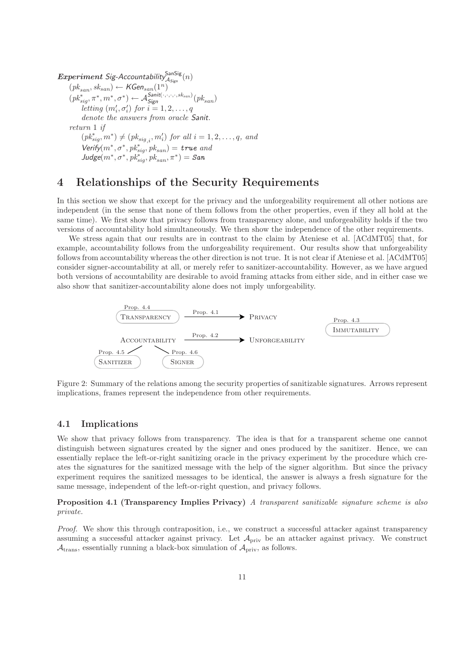$Experiment$  Sig-Accountability $\frac{Sansis}{\mathcal{A}_{Sign}}(n)$  $(\mathit{pk}_{san}, \mathit{sk}_{san}) \leftarrow \mathit{KGen}_{san}(1^n)$  $\left( p k_{\textit{sig}}^*,\pi^*,m^*,\sigma^* \right) \leftarrow \mathcal{A}^{\textit{Sanit}(\cdot,\cdot,\cdot,\cdot,\textit{sk}_{\textit{san}})}_{\textit{Sign}}(p k_{\textit{san}})$ letting  $(m'_i, \sigma'_i)$  for  $i = 1, 2, \ldots, q$ denote the answers from oracle Sanit. return 1 if  $(pk_{sig}^*, m^*) \neq (pk_{sig,i}, m'_i)$  for all  $i = 1, 2, ..., q$ , and Verify $(m^*, \sigma^*, pk_{sig}^*, pk_{san}) =$  true and  $Judge(m^*, \sigma^*, pk^*_{sig}, pk_{san}, \pi^*) = San$ 

### 4 Relationships of the Security Requirements

In this section we show that except for the privacy and the unforgeability requirement all other notions are independent (in the sense that none of them follows from the other properties, even if they all hold at the same time). We first show that privacy follows from transparency alone, and unforgeability holds if the two versions of accountability hold simultaneously. We then show the independence of the other requirements.

We stress again that our results are in contrast to the claim by Ateniese et al. [ACdMT05] that, for example, accountability follows from the unforgeability requirement. Our results show that unforgeability follows from accountability whereas the other direction is not true. It is not clear if Ateniese et al. [ACdMT05] consider signer-accountability at all, or merely refer to sanitizer-accountability. However, as we have argued both versions of accountability are desirable to avoid framing attacks from either side, and in either case we also show that sanitizer-accountability alone does not imply unforgeability.



Figure 2: Summary of the relations among the security properties of sanitizable signatures. Arrows represent implications, frames represent the independence from other requirements.

### 4.1 Implications

We show that privacy follows from transparency. The idea is that for a transparent scheme one cannot distinguish between signatures created by the signer and ones produced by the sanitizer. Hence, we can essentially replace the left-or-right sanitizing oracle in the privacy experiment by the procedure which creates the signatures for the sanitized message with the help of the signer algorithm. But since the privacy experiment requires the sanitized messages to be identical, the answer is always a fresh signature for the same message, independent of the left-or-right question, and privacy follows.

Proposition 4.1 (Transparency Implies Privacy) A transparent sanitizable signature scheme is also private.

Proof. We show this through contraposition, i.e., we construct a successful attacker against transparency assuming a successful attacker against privacy. Let  $A_{\text{priv}}$  be an attacker against privacy. We construct  $\mathcal{A}_{trans}$ , essentially running a black-box simulation of  $\mathcal{A}_{priv}$ , as follows.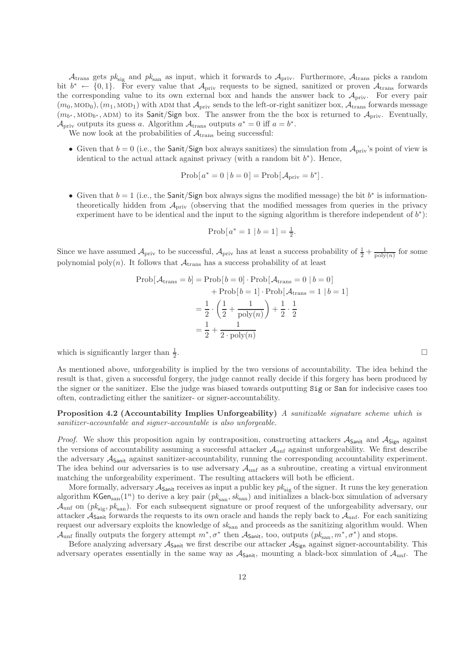$\mathcal{A}_{trans}$  gets  $pk_{sig}$  and  $pk_{san}$  as input, which it forwards to  $\mathcal{A}_{priv}$ . Furthermore,  $\mathcal{A}_{trans}$  picks a random bit  $b^* \leftarrow \{0, 1\}$ . For every value that  $\mathcal{A}_{priv}$  requests to be signed, sanitized or proven  $\mathcal{A}_{trans}$  forwards the corresponding value to its own external box and hands the answer back to  $A_{\text{priv}}$ . For every pair  $(m_0, \text{MOD}_0), (m_1, \text{MOD}_1)$  with ADM that  $\mathcal{A}_{\text{priv}}$  sends to the left-or-right sanitizer box,  $\mathcal{A}_{\text{trans}}$  forwards message  $(m_{b^*}, \text{MOD}_{b^*}, \text{ADM})$  to its Sanit/Sign box. The answer from the the box is returned to  $\mathcal{A}_{\text{priv}}$ . Eventually,  $\mathcal{A}_{\text{priv}}$  outputs its guess a. Algorithm  $\mathcal{A}_{\text{trans}}$  outputs  $a^* = 0$  iff  $a = b^*$ .

We now look at the probabilities of  $A<sub>trans</sub>$  being successful:

• Given that  $b = 0$  (i.e., the Sanit/Sign box always sanitizes) the simulation from  $\mathcal{A}_{priv}$ 's point of view is identical to the actual attack against privacy (with a random bit  $b^*$ ). Hence,

$$
Prob[a^* = 0 | b = 0] = Prob[\mathcal{A}_{priv} = b^*].
$$

• Given that  $b = 1$  (i.e., the Sanit/Sign box always signs the modified message) the bit  $b^*$  is informationtheoretically hidden from  $A_{\text{priv}}$  (observing that the modified messages from queries in the privacy experiment have to be identical and the input to the signing algorithm is therefore independent of  $b^*$ ):

$$
Prob[a^* = 1 | b = 1] = \frac{1}{2}.
$$

Since we have assumed  $\mathcal{A}_{\text{priv}}$  to be successful,  $\mathcal{A}_{\text{priv}}$  has at least a success probability of  $\frac{1}{2} + \frac{1}{\text{poly}(n)}$  for some polynomial poly(n). It follows that  $A_{trans}$  has a success probability of at least

$$
\text{Prob}[\mathcal{A}_{\text{trans}} = b] = \text{Prob}[b = 0] \cdot \text{Prob}[\mathcal{A}_{\text{trans}} = 0 | b = 0]
$$

$$
+ \text{Prob}[b = 1] \cdot \text{Prob}[\mathcal{A}_{\text{trans}} = 1 | b = 1]
$$

$$
= \frac{1}{2} \cdot \left(\frac{1}{2} + \frac{1}{\text{poly}(n)}\right) + \frac{1}{2} \cdot \frac{1}{2}
$$

$$
= \frac{1}{2} + \frac{1}{2 \cdot \text{poly}(n)}
$$

which is significantly larger than  $\frac{1}{2}$ 

As mentioned above, unforgeability is implied by the two versions of accountability. The idea behind the result is that, given a successful forgery, the judge cannot really decide if this forgery has been produced by the signer or the sanitizer. Else the judge was biased towards outputting Sig or San for indecisive cases too often, contradicting either the sanitizer- or signer-accountability.

### Proposition 4.2 (Accountability Implies Unforgeability) A sanitizable signature scheme which is sanitizer-accountable and signer-accountable is also unforgeable.

*Proof.* We show this proposition again by contraposition, constructing attackers  $A_{Sanit}$  and  $A_{Sign}$  against the versions of accountability assuming a successful attacker  $A_{\text{unf}}$  against unforgeability. We first describe the adversary  $A_{\text{Sanit}}$  against sanitizer-accountability, running the corresponding accountability experiment. The idea behind our adversaries is to use adversary  $\mathcal{A}_{unf}$  as a subroutine, creating a virtual environment matching the unforgeability experiment. The resulting attackers will both be efficient.

More formally, adversary  $A_{\text{Sanit}}$  receives as input a public key  $pk_{\text{sig}}$  of the signer. It runs the key generation algorithm KGen<sub>san</sub>(1<sup>n</sup>) to derive a key pair ( $pk_{\text{san}}$ ,  $sk_{\text{san}}$ ) and initializes a black-box simulation of adversary  $\mathcal{A}_{unf}$  on  $(pk_{sig}, pk_{san})$ . For each subsequent signature or proof request of the unforgeability adversary, our attacker  $A_{\text{Sanit}}$  forwards the requests to its own oracle and hands the reply back to  $A_{\text{unf}}$ . For each sanitizing request our adversary exploits the knowledge of  $sk_{\text{san}}$  and proceeds as the sanitizing algorithm would. When  $\mathcal{A}_{\text{unf}}$  finally outputs the forgery attempt  $m^*, \sigma^*$  then  $\mathcal{A}_{\text{Santi}}$ , too, outputs  $(pk_{\text{san}}, m^*, \sigma^*)$  and stops.

Before analyzing adversary  $A_{\text{Santi}}$  we first describe our attacker  $A_{\text{Sign}}$  against signer-accountability. This adversary operates essentially in the same way as  $A_{Sanit}$ , mounting a black-box simulation of  $A_{unf}$ . The

.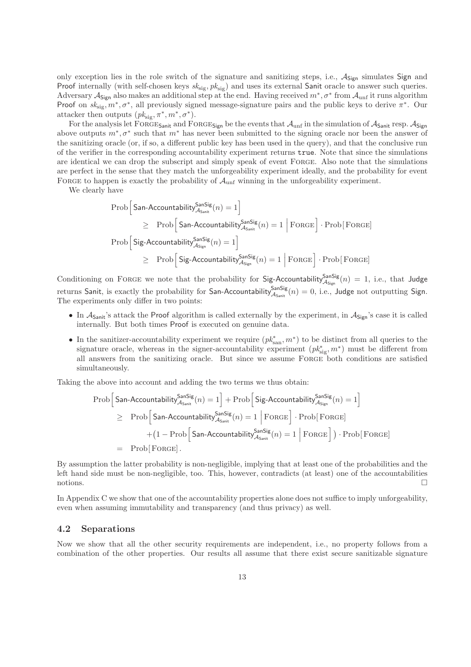only exception lies in the role switch of the signature and sanitizing steps, i.e.,  $A_{Sign}$  simulates Sign and Proof internally (with self-chosen keys  $sk_{sig}$ ,  $pk_{sig}$ ) and uses its external Sanit oracle to answer such queries. Adversary  $\mathcal{A}_{Sign}$  also makes an additional step at the end. Having received  $m^*$ ,  $\sigma^*$  from  $\mathcal{A}_{unf}$  it runs algorithm Proof on  $sk_{sig}, m^*, \sigma^*$ , all previously signed message-signature pairs and the public keys to derive  $\pi^*$ . Our attacker then outputs  $(pk_{\text{sig}}, \pi^*, m^*, \sigma^*).$ 

For the analysis let FORGE<sub>Sanit</sub> and FORGE<sub>Sign</sub> be the events that  $\mathcal{A}_{unf}$  in the simulation of  $\mathcal{A}_{Sanit}$  resp.  $\mathcal{A}_{Sign}$ above outputs  $m^*, \sigma^*$  such that  $m^*$  has never been submitted to the signing oracle nor been the answer of the sanitizing oracle (or, if so, a different public key has been used in the query), and that the conclusive run of the verifier in the corresponding accountability experiment returns true. Note that since the simulations are identical we can drop the subscript and simply speak of event Forge. Also note that the simulations are perfect in the sense that they match the unforgeability experiment ideally, and the probability for event FORGE to happen is exactly the probability of  $A_{\text{unf}}$  winning in the unforgeability experiment.

We clearly have

$$
\begin{aligned} &\text{Prob}\Big[\, \textsf{San-Accountability}_{\mathcal{A}_{\sf San}^{\sf SanSig}}(n) = 1 \Big] \\ &\geq \ \text{Prob}\Big[\, \textsf{San-Accountability}_{\mathcal{A}_{\sf San}^{\sf San Sig}}(n) = 1 \,\, \Big|\, \text{FORGE}\Big] \cdot \text{Prob}\big[\, \text{FORGE}\big] \\ &\text{Prob}\Big[\, \textsf{Sig-Accountability}_{\mathcal{A}_{\sf Sign}^{\sf Can Sig}}(n) = 1 \Big] \\ &\geq \ \text{Prob}\Big[\, \textsf{Sig-Accountability}_{\mathcal{A}_{\sf Sign}^{\sf San Sig}}(n) = 1 \,\, \Big|\, \text{FORGE}\Big] \cdot \text{Prob}\big[\, \text{FORGE}\big] \end{aligned}
$$

Conditioning on FORGE we note that the probability for Sig-Accountability  $S_{\text{alg}}^{\text{SanSig}}(n) = 1$ , i.e., that Judge returns Sanit, is exactly the probability for San-Accountability $\zeta_{A_{\mathsf{Sanit}}^{A}}^{SanSig}(n) = 0$ , i.e., Judge not outputting Sign. The experiments only differ in two points:

- In  $A_{Sani}$ 's attack the Proof algorithm is called externally by the experiment, in  $A_{Sign}$ 's case it is called internally. But both times Proof is executed on genuine data.
- In the sanitizer-accountability experiment we require  $(pk_{\text{san}}^*, m^*)$  to be distinct from all queries to the signature oracle, whereas in the signer-accountability experiment  $(pk_{\text{sig}}^*, m^*)$  must be different from all answers from the sanitizing oracle. But since we assume Forge both conditions are satisfied simultaneously.

Taking the above into account and adding the two terms we thus obtain:

$$
\begin{aligned} \text{Prob}\Big[\, \textsf{San-Accountability}_{\mathcal{A}_{\mathsf{Sanit}}}^{\mathsf{SanSig}}(n) = 1 \Big] + \text{Prob}\Big[\, \textsf{Sig-Accountability}_{\mathcal{A}_{\mathsf{ Sign}}}^{\mathsf{SanSig}}(n) = 1 \Big] \\ \geq & \text{Prob}\Big[\, \textsf{San-Accountability}_{\mathcal{A}_{\mathsf{Sanit}}}^{\mathsf{SanSig}}(n) = 1 \Bigm\vert \text{FORGE} \Big] \cdot \text{Prob}\big[\, \text{FORGE} \big] \\ + \big( 1 - \text{Prob}\Big[\, \textsf{San-Accountability}_{\mathcal{A}_{\mathsf{Sanit}}}^{\mathsf{SanSig}}(n) = 1 \Bigm\vert \, \text{FORGE} \Big] \, \big) \cdot \text{Prob}\big[\, \text{FORGE} \big] \\ = & \text{Prob}\big[\, \text{FORGE} \big]. \end{aligned}
$$

By assumption the latter probability is non-negligible, implying that at least one of the probabilities and the left hand side must be non-negligible, too. This, however, contradicts (at least) one of the accountabilities notions.  $\Box$ 

In Appendix C we show that one of the accountability properties alone does not suffice to imply unforgeability, even when assuming immutability and transparency (and thus privacy) as well.

### 4.2 Separations

Now we show that all the other security requirements are independent, i.e., no property follows from a combination of the other properties. Our results all assume that there exist secure sanitizable signature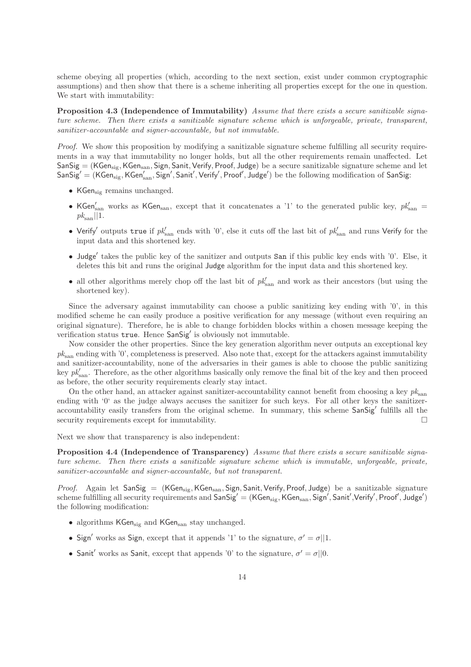scheme obeying all properties (which, according to the next section, exist under common cryptographic assumptions) and then show that there is a scheme inheriting all properties except for the one in question. We start with immutability:

Proposition 4.3 (Independence of Immutability) Assume that there exists a secure sanitizable signature scheme. Then there exists a sanitizable signature scheme which is unforgeable, private, transparent, sanitizer-accountable and signer-accountable, but not immutable.

Proof. We show this proposition by modifying a sanitizable signature scheme fulfilling all security requirements in a way that immutability no longer holds, but all the other requirements remain unaffected. Let  $SanSig = (KGen<sub>sig</sub>, KGen<sub>san</sub>, Sign, Sanit, Verify, Proof, Judge)$  be a secure sanitizable signature scheme and let  $\textsf{SanSig}' = (\textsf{KGen}_{\textsf{sig}},\textsf{KGen}_{\textsf{san}}',\textsf{Sign}',\textsf{Sanit}',\textsf{Verify}',\textsf{Proof}',\textsf{Judge}')$  be the following modification of SanSig:

- K $Gen_{\text{sig}}$  remains unchanged.
- KGen'<sub>san</sub> works as KGen<sub>san</sub>, except that it concatenates a '1' to the generated public key,  $pk'_{\text{san}} =$  $pk_{\text{san}}||1.$
- Verify' outputs true if  $pk'_{\text{san}}$  ends with '0', else it cuts off the last bit of  $pk'_{\text{san}}$  and runs Verify for the input data and this shortened key.
- Judge′ takes the public key of the sanitizer and outputs San if this public key ends with '0'. Else, it deletes this bit and runs the original Judge algorithm for the input data and this shortened key.
- all other algorithms merely chop off the last bit of  $pk'_{\text{san}}$  and work as their ancestors (but using the shortened key).

Since the adversary against immutability can choose a public sanitizing key ending with '0', in this modified scheme he can easily produce a positive verification for any message (without even requiring an original signature). Therefore, he is able to change forbidden blocks within a chosen message keeping the verification status true. Hence SanSig′ is obviously not immutable.

Now consider the other properties. Since the key generation algorithm never outputs an exceptional key  $pk_{\text{san}}$  ending with '0', completeness is preserved. Also note that, except for the attackers against immutability and sanitizer-accountability, none of the adversaries in their games is able to choose the public sanitizing key  $pk'_{\text{san}}$ . Therefore, as the other algorithms basically only remove the final bit of the key and then proceed as before, the other security requirements clearly stay intact.

On the other hand, an attacker against sanitizer-accountability cannot benefit from choosing a key  $pk_{\text{san}}$ ending with '0' as the judge always accuses the sanitizer for such keys. For all other keys the sanitizeraccountability easily transfers from the original scheme. In summary, this scheme SanSig' fulfills all the security requirements except for immutability.

Next we show that transparency is also independent:

Proposition 4.4 (Independence of Transparency) Assume that there exists a secure sanitizable signature scheme. Then there exists a sanitizable signature scheme which is immutable, unforgeable, private, sanitizer-accountable and signer-accountable, but not transparent.

Proof. Again let SanSig =  $(KGen_{\text{sig}}, KGen_{\text{san}}, Sign, Sanit, Verify, Proof, Judge)$  be a sanitizable signature  $\text{scheme}$  fulfilling all security requirements and  $\text{SanSig}' = (\text{KGen}_{\text{sig}}, \text{KGen}_{\text{san}}, \text{Sign}', \text{Sanit}', \text{Verify}', \text{Proof}', \text{Judge}')$ the following modification:

- algorithms KGen<sub>sig</sub> and KGen<sub>san</sub> stay unchanged.
- Sign' works as Sign, except that it appends '1' to the signature,  $\sigma' = \sigma ||1$ .
- Sanit' works as Sanit, except that appends '0' to the signature,  $\sigma' = \sigma ||0$ .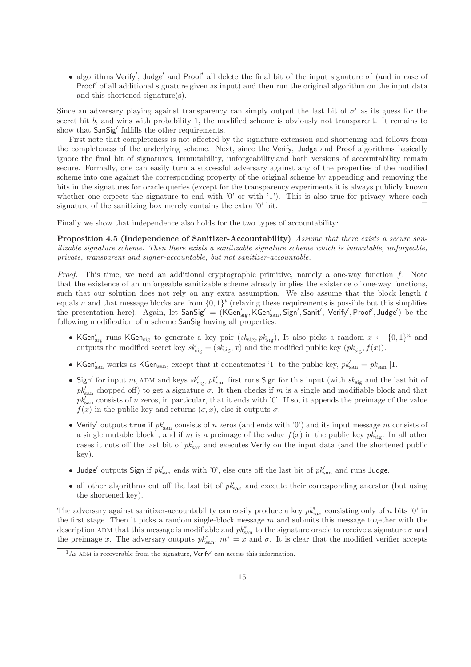• algorithms Verify', Judge' and Proof' all delete the final bit of the input signature  $\sigma'$  (and in case of Proof' of all additional signature given as input) and then run the original algorithm on the input data and this shortened signature(s).

Since an adversary playing against transparency can simply output the last bit of  $\sigma'$  as its guess for the secret bit b, and wins with probability 1, the modified scheme is obviously not transparent. It remains to show that SanSig′ fulfills the other requirements.

First note that completeness is not affected by the signature extension and shortening and follows from the completeness of the underlying scheme. Next, since the Verify, Judge and Proof algorithms basically ignore the final bit of signatures, immutability, unforgeability,and both versions of accountability remain secure. Formally, one can easily turn a successful adversary against any of the properties of the modified scheme into one against the corresponding property of the original scheme by appending and removing the bits in the signatures for oracle queries (except for the transparency experiments it is always publicly known whether one expects the signature to end with '0' or with '1'). This is also true for privacy where each signature of the sanitizing box merely contains the extra  $'0'$  bit.

Finally we show that independence also holds for the two types of accountability:

Proposition 4.5 (Independence of Sanitizer-Accountability) Assume that there exists a secure sanitizable signature scheme. Then there exists a sanitizable signature scheme which is immutable, unforgeable, private, transparent and signer-accountable, but not sanitizer-accountable.

*Proof.* This time, we need an additional cryptographic primitive, namely a one-way function f. Note that the existence of an unforgeable sanitizable scheme already implies the existence of one-way functions, such that our solution does not rely on any extra assumption. We also assume that the block length t equals n and that message blocks are from  $\{0,1\}^t$  (relaxing these requirements is possible but this simplifies the presentation here). Again, let  $\mathsf{SanSig}' = (\mathsf{KGen}'_{\text{sig}}, \mathsf{KGen}'_{\text{san}}, \mathsf{Sign}', \mathsf{Sanit}', \mathsf{Verify}', \mathsf{Proof}', \mathsf{Judge}')$  be the following modification of a scheme SanSig having all properties:

- KGen'<sub>sig</sub> runs KGen<sub>sig</sub> to generate a key pair  $(s k_{sig}, p k_{sig})$ , It also picks a random  $x \leftarrow \{0, 1\}^n$  and outputs the modified secret key  $sk'_{\text{sig}} = (sk_{\text{sig}}, x)$  and the modified public key  $(pk_{\text{sig}}, f(x))$ .
- KGen'<sub>san</sub> works as KGen<sub>san</sub>, except that it concatenates '1' to the public key,  $pk'_{\text{san}} = pk_{\text{san}}||1$ .
- Sign' for input m, ADM and keys  $sk'_{\text{sig}}$ ,  $pk'_{\text{san}}$  first runs Sign for this input (with  $sk_{\text{sig}}$  and the last bit of  $pk'_{\text{san}}$  chopped off) to get a signature  $\sigma$ . It then checks if m is a single and modifiable block and that  $pk_{\text{san}}^{\text{at}}$  consists of *n* zeros, in particular, that it ends with '0'. If so, it appends the preimage of the value  $f(x)$  in the public key and returns  $(\sigma, x)$ , else it outputs  $\sigma$ .
- Verify' outputs true if  $pk'_{\text{san}}$  consists of n zeros (and ends with '0') and its input message m consists of a single mutable block<sup>1</sup>, and if m is a preimage of the value  $f(x)$  in the public key  $pk'_{sig}$ . In all other cases it cuts off the last bit of  $pk'_{\text{san}}$  and executes Verify on the input data (and the shortened public key).
- Judge' outputs Sign if  $pk'_{\text{san}}$  ends with '0', else cuts off the last bit of  $pk'_{\text{san}}$  and runs Judge.
- all other algorithms cut off the last bit of  $pk'_{\text{san}}$  and execute their corresponding ancestor (but using the shortened key).

The adversary against sanitizer-accountability can easily produce a key  $pk_{\text{san}}^*$  consisting only of n bits '0' in the first stage. Then it picks a random single-block message  $m$  and submits this message together with the description ADM that this message is modifiable and  $pk_{\text{san}}^*$  to the signature oracle to receive a signature  $\sigma$  and the preimage x. The adversary outputs  $pk_{\text{san}}^*$ ,  $m^* = x$  and  $\sigma$ . It is clear that the modified verifier accepts

 $1\text{As }$  ADM is recoverable from the signature, Verify' can access this information.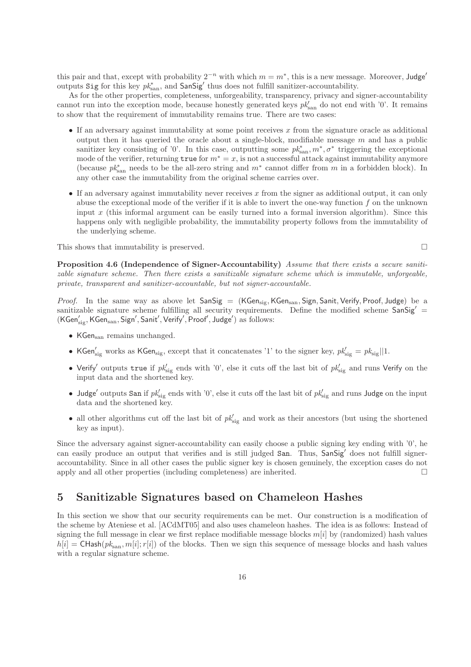this pair and that, except with probability  $2^{-n}$  with which  $m = m^*$ , this is a new message. Moreover, Judge<sup>'</sup> outputs Sig for this key  $pk_{\text{san}}^*$ , and SanSig' thus does not fulfill sanitizer-accountability.

As for the other properties, completeness, unforgeability, transparency, privacy and signer-accountability cannot run into the exception mode, because honestly generated keys  $pk'_{\text{san}}$  do not end with '0'. It remains to show that the requirement of immutability remains true. There are two cases:

- If an adversary against immutability at some point receives x from the signature oracle as additional output then it has queried the oracle about a single-block, modifiable message  $m$  and has a public sanitizer key consisting of '0'. In this case, outputting some  $pk_{\text{san}}^*, m^*, \sigma^*$  triggering the exceptional mode of the verifier, returning  $true$  for  $m^* = x$ , is not a successful attack against immutability anymore (because  $pk_{\text{san}}^*$  needs to be the all-zero string and  $m^*$  cannot differ from m in a forbidden block). In any other case the immutability from the original scheme carries over.
- If an adversary against immutability never receives  $x$  from the signer as additional output, it can only abuse the exceptional mode of the verifier if it is able to invert the one-way function  $f$  on the unknown input  $x$  (this informal argument can be easily turned into a formal inversion algorithm). Since this happens only with negligible probability, the immutability property follows from the immutability of the underlying scheme.

This shows that immutability is preserved.

Proposition 4.6 (Independence of Signer-Accountability) Assume that there exists a secure sanitizable signature scheme. Then there exists a sanitizable signature scheme which is immutable, unforgeable, private, transparent and sanitizer-accountable, but not signer-accountable.

*Proof.* In the same way as above let  $SanSig = (KGen_{sig},KGen_{san}, Sign, Sanit, Verify, Proof, Judge)$  be a sanitizable signature scheme fulfilling all security requirements. Define the modified scheme  $\text{SanSig}' =$  $(\mathsf{KGen}'_{\text{sig}}, \mathsf{KGen}_{\text{san}}, \mathsf{Sign}', \mathsf{Sanit}', \mathsf{Verify}', \mathsf{Proof}', \mathsf{Judge}')$  as follows:

- K $Gen<sub>san</sub>$  remains unchanged.
- KGen'<sub>sig</sub> works as KGen<sub>sig</sub>, except that it concatenates '1' to the signer key,  $pk'_{sig} = pk_{sig}||1$ .
- Verify' outputs true if  $pk'_{sig}$  ends with '0', else it cuts off the last bit of  $pk'_{sig}$  and runs Verify on the input data and the shortened key.
- Judge' outputs San if  $pk'_{sig}$  ends with '0', else it cuts off the last bit of  $pk'_{sig}$  and runs Judge on the input data and the shortened key.
- all other algorithms cut off the last bit of  $pk'_{sig}$  and work as their ancestors (but using the shortened key as input).

Since the adversary against signer-accountability can easily choose a public signing key ending with '0', he can easily produce an output that verifies and is still judged San. Thus, SanSig' does not fulfill signeraccountability. Since in all other cases the public signer key is chosen genuinely, the exception cases do not apply and all other properties (including completeness) are inherited.

### 5 Sanitizable Signatures based on Chameleon Hashes

In this section we show that our security requirements can be met. Our construction is a modification of the scheme by Ateniese et al. [ACdMT05] and also uses chameleon hashes. The idea is as follows: Instead of signing the full message in clear we first replace modifiable message blocks  $m[i]$  by (randomized) hash values  $h[i] = \text{CHash}(pk_{\text{san}}, m[i]; r[i])$  of the blocks. Then we sign this sequence of message blocks and hash values with a regular signature scheme.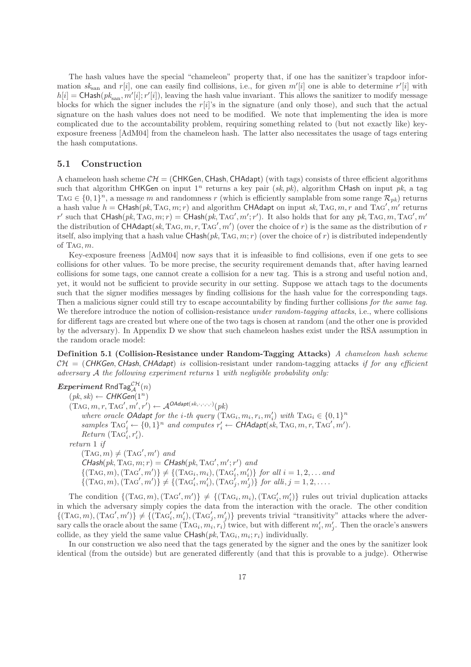The hash values have the special "chameleon" property that, if one has the sanitizer's trapdoor information  $sk_{\text{san}}$  and  $r[i]$ , one can easily find collisions, i.e., for given  $m'[i]$  one is able to determine  $r'[i]$  with  $h[i] = \text{CHash}(pk_{\text{san}}, m'[i]; r'[i])$ , leaving the hash value invariant. This allows the sanitizer to modify message blocks for which the signer includes the  $r[i]$ 's in the signature (and only those), and such that the actual signature on the hash values does not need to be modified. We note that implementing the idea is more complicated due to the accountability problem, requiring something related to (but not exactly like) keyexposure freeness [AdM04] from the chameleon hash. The latter also necessitates the usage of tags entering the hash computations.

#### 5.1 Construction

A chameleon hash scheme  $\mathcal{CH} = (CHKGen, CHA dapt)$  (with tags) consists of three efficient algorithms such that algorithm CHKGen on input  $1^n$  returns a key pair (sk, pk), algorithm CHash on input pk, a tag TAG  $\in \{0,1\}^n$ , a message m and randomness r (which is efficiently samplable from some range  $\mathcal{R}_{pk}$ ) returns a hash value  $h = \text{CHash}(pk, \text{TAG}, m; r)$  and algorithm CHAdapt on input sk, TAG, m, r and TAG', m' returns r' such that  $\textsf{CHash}(pk, \textsf{TAG}, m; r) = \textsf{CHash}(pk, \textsf{TAG}', m'; r')$ . It also holds that for any  $pk, \textsf{TAG}, m, \textsf{TAG}', m'$ the distribution of  $\tilde{CHAdapt}(sk, \text{TAG}, m, r, \text{TAG}', m')$  (over the choice of r) is the same as the distribution of r itself, also implying that a hash value  $CHash(pk, TAG, m; r)$  (over the choice of r) is distributed independently of Tag, m.

Key-exposure freeness [AdM04] now says that it is infeasible to find collisions, even if one gets to see collisions for other values. To be more precise, the security requirement demands that, after having learned collisions for some tags, one cannot create a collision for a new tag. This is a strong and useful notion and, yet, it would not be sufficient to provide security in our setting. Suppose we attach tags to the documents such that the signer modifies messages by finding collisions for the hash value for the corresponding tags. Then a malicious signer could still try to escape accountability by finding further collisions for the same tag. We therefore introduce the notion of collision-resistance *under random-tagging attacks*, i.e., where collisions for different tags are created but where one of the two tags is chosen at random (and the other one is provided by the adversary). In Appendix D we show that such chameleon hashes exist under the RSA assumption in the random oracle model:

Definition 5.1 (Collision-Resistance under Random-Tagging Attacks) A chameleon hash scheme  $\mathcal{CH} = (CHKGen, CHash, CHAdapt)$  is collision-resistant under random-tagging attacks if for any efficient adversary A the following experiment returns 1 with negligible probability only:

 $\boldsymbol{Experiment}$   $\boldsymbol{\mathsf{R}}$ nd $\boldsymbol{\mathsf{Tag}}_{\mathcal{A}}^{\mathcal{CH}}(n)$  $(pk, sk) \leftarrow \textit{CHKGen}(1^n)$  $(\text{TAG}, m, r, \text{TAG}', m', r') \leftarrow \mathcal{A}^{\text{OAdapt}(sk, \cdot, \cdot, \cdot, \cdot)}(pk)$ where oracle OAdapt for the *i*-th query  $(TAG_i, m_i, r_i, m'_i)$  with  $TAG_i \in \{0, 1\}^n$ samples  $\text{Tag}_i' \leftarrow \{0, 1\}^n$  and computes  $r_i' \leftarrow \text{CHAdapt}(sk, \text{TAG}, m, r, \text{Tag}', m')$ .  $Return (\text{Tag}_i^{\prime}, r_i^{\prime}).$ return 1 if  $(TAG, m) \neq (TAG', m')$  and  $CHash(pk, \text{TAG}, m; r) = CHash(pk, \text{TAG}', m'; r')$  and  $\{(\text{TAG}, m), (\text{TAG}', m')\} \neq \{(\text{TAG}_i, m_i), (\text{TAG}_i', m_i')\}$  for all  $i = 1, 2, ...$  and  $\{(\text{TAG}, m), (\text{TAG}', m')\} \neq \{(\text{TAG}'_i, m'_i), (\text{TAG}'_j, m'_j)\}$  for all,  $j = 1, 2, \ldots$ .

The condition  $\{(\text{TAG}, m), (\text{TAG}', m')\} \neq \{(\text{TAG}_i, m_i), (\text{TAG}'_i, m'_i)\}$  rules out trivial duplication attacks in which the adversary simply copies the data from the interaction with the oracle. The other condition  ${(\text{TAG}, m), (\text{TAG}', m') \neq {\{(\text{TAG}', m'_i), (\text{TAG}'_j, m'_j)\}}$  prevents trivial "transitivity" attacks where the adversary calls the oracle about the same  $(\text{TAG}_i, m_i, r_i)$  twice, but with different  $m'_i, m'_j$ . Then the oracle's answers collide, as they yield the same value  $\mathsf{CHash}(pk, \mathrm{TAG}_i, m_i; r_i)$  individually.

In our construction we also need that the tags generated by the signer and the ones by the sanitizer look identical (from the outside) but are generated differently (and that this is provable to a judge). Otherwise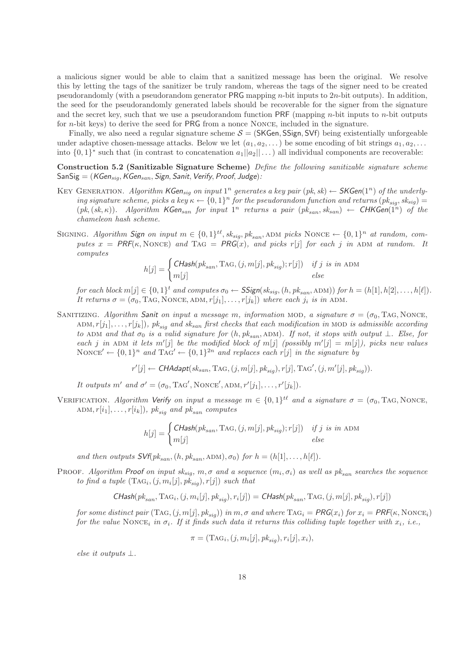a malicious signer would be able to claim that a sanitized message has been the original. We resolve this by letting the tags of the sanitizer be truly random, whereas the tags of the signer need to be created pseudorandomly (with a pseudorandom generator PRG mapping n-bit inputs to 2n-bit outputs). In addition, the seed for the pseudorandomly generated labels should be recoverable for the signer from the signature and the secret key, such that we use a pseudorandom function PRF (mapping *n*-bit inputs to *n*-bit outputs for n-bit keys) to derive the seed for PRG from a nonce Nonce, included in the signature.

Finally, we also need a regular signature scheme  $S = (SKGen, SSign, SVf)$  being existentially unforgeable under adaptive chosen-message attacks. Below we let  $(a_1, a_2, \ldots)$  be some encoding of bit strings  $a_1, a_2, \ldots$ into  $\{0,1\}^*$  such that (in contrast to concatenation  $a_1||a_2||\ldots$ ) all individual components are recoverable:

Construction 5.2 (Sanitizable Signature Scheme) Define the following sanitizable signature scheme  $Sansig = (KGen_{sig}, KGen_{san}, Sign, Sanit, Verify, Proof, Judge):$ 

- KEY GENERATION. Algorithm KGen<sub>sig</sub> on input  $1^n$  generates a key pair  $(pk, sk) \leftarrow$  SKGen $(1^n)$  of the underlying signature scheme, picks a key  $\kappa \leftarrow \{0,1\}^n$  for the pseudorandom function and returns  $(pk_{sig}, sk_{sig})$  $(pk, (sk, \kappa))$ . Algorithm KGen<sub>san</sub> for input 1<sup>n</sup> returns a pair  $(pk_{san}, sk_{san}) \leftarrow \text{CHKGen}(1^n)$  of the chameleon hash scheme.
- SIGNING. Algorithm Sign on input  $m \in \{0,1\}^{t\ell}$ , sk<sub>sig</sub>, pk<sub>san</sub>, ADM picks NONCE  $\leftarrow \{0,1\}^n$  at random, computes  $x = PRF(\kappa, \text{NonCE})$  and  $\text{TAG} = PRG(x)$ , and picks r[j] for each j in ADM at random. It computes

$$
h[j] = \begin{cases} \text{CHash}(pk_{san}, \text{TAG}, (j, m[j], pk_{sig}); r[j]) & \text{if } j \text{ is in ADM} \\ m[j] & \text{else} \end{cases}
$$

for each block  $m[j] \in \{0,1\}^t$  and computes  $\sigma_0 \leftarrow \text{SSign}(sk_{sig}, (h, pk_{san}, \text{ADM}))$  for  $h = (h[1], h[2], \ldots, h[\ell]).$ It returns  $\sigma = (\sigma_0, \text{TAG}, \text{NonCE}, \text{ADM}, r[j_1], \dots, r[j_k])$  where each  $j_i$  is in ADM.

SANITIZING. Algorithm Sanit on input a message m, information MOD, a signature  $\sigma = (\sigma_0, \text{TAG}, \text{NonCE},$ ADM,  $r[j_1], \ldots, r[j_k]$ ,  $pk_{sia}$  and  $sk_{san}$  first checks that each modification in MOD is admissible according to ADM and that  $\sigma_0$  is a valid signature for  $(h, pk_{san}, ADM)$ . If not, it stops with output ⊥. Else, for each j in ADM it lets m'[j] be the modified block of m[j] (possibly  $m'[j] = m[j]$ ), picks new values NONCE'  $\leftarrow \{0,1\}^n$  and  $\text{TAG}' \leftarrow \{0,1\}^{2n}$  and replaces each r[j] in the signature by

$$
r'[j] \leftarrow \textit{CHAdapt}(sk_{san}, \textit{TAG}, (j, m[j], \textit{pk}_{sig}), r[j], \textit{TAG}', (j, m'[j], \textit{pk}_{sig})).
$$

It outputs  $m'$  and  $\sigma' = (\sigma_0, \text{TAG}', \text{NonCE}', \text{ADM}, r'[j_1], \ldots, r'[j_k]).$ 

VERIFICATION. Algorithm Verify on input a message  $m \in \{0,1\}^{t\ell}$  and a signature  $\sigma = (\sigma_0, \text{TAG}, \text{NonCE},$ ADM,  $r[i_1], \ldots, r[i_k]$ ,  $pk_{sia}$  and  $pk_{san}$  computes

$$
h[j] = \begin{cases} \text{CHash}(pk_{san}, \text{TAG}, (j, m[j], pk_{sig}); r[j]) & \text{if } j \text{ is in ADM} \\ m[j] & \text{else} \end{cases}
$$

and then outputs  $\mathsf{SVf}(pk_{san},(h,pk_{san},\mathrm{ADM}),\sigma_0)$  for  $h=(h[1],\ldots,h[\ell]).$ 

PROOF. Algorithm Proof on input  $sk_{sig}$ ,  $m, \sigma$  and a sequence  $(m_i, \sigma_i)$  as well as  $pk_{san}$  searches the sequence to find a tuple  $(\text{TAG}_i, (j, m_i[j], \overline{pk}_{sig}), r[j])$  such that

$$
\mathit{CHash}(pk_{san},\mathrm{TAG}_i,(j,m_i[j],pk_{sig}),r_i[j]) = \mathit{CHash}(pk_{san},\mathrm{TAG},(j,m[j],pk_{sig}),r[j])
$$

for some distinct pair  $(\text{TAG},(j,m[j],pk_{sio}))$  in  $m,\sigma$  and where  $\text{TAG}_i = PRG(x_i)$  for  $x_i = PRF(\kappa, \text{NonCE}_i)$ for the value NONCE<sub>i</sub> in  $\sigma_i$ . If it finds such data it returns this colliding tuple together with  $x_i$ , i.e.,

$$
\pi = (\mathrm{TAG}_i, (j, m_i[j], \mathit{pk}_{\mathit{sig}}), r_i[j], x_i),
$$

else it outputs ⊥.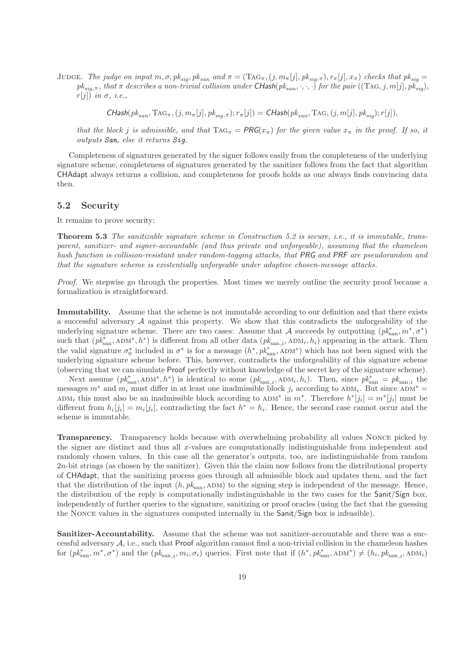JUDGE. The judge on input  $m, \sigma, pk_{sig}$ ,  $pk_{san}$  and  $\pi = (\text{TAG}_{\pi}, (j, m_{\pi}[j], pk_{sig,\pi}), r_{\pi}[j], x_{\pi})$  checks that  $pk_{sig}$  $pk_{sig,\pi}$ , that  $\pi$  describes a non-trivial collision under **CHash** $(pk_{san}, \cdot, \cdot, \cdot)$  for the pair  $((\text{TAG}, j, m[j], pk_{sia}),$  $r[j]$ ) in  $\sigma$ , i.e.,

 $CHash(p_{s_{san}}, \text{TAG}_{\pi}, (j, m_{\pi}[j], pk_{s_{ia}, \pi}); r_{\pi}[j]) = CHash(p_{s_{san}}, \text{TAG}, (j, m[j], pk_{s_{ia}}); r[j]),$ 

that the block j is admissible, and that  $\text{TAG}_{\pi} = \text{PRG}(x_{\pi})$  for the given value  $x_{\pi}$  in the proof. If so, it outputs San, else it returns Sig.

Completeness of signatures generated by the signer follows easily from the completeness of the underlying signature scheme, completeness of signatures generated by the sanitizer follows from the fact that algorithm CHAdapt always returns a collision, and completeness for proofs holds as one always finds convincing data then.

#### 5.2 Security

It remains to prove security:

Theorem 5.3 The sanitizable signature scheme in Construction 5.2 is secure, i.e., it is immutable, transparent, sanitizer- and signer-accountable (and thus private and unforgeable), assuming that the chameleon hash function is collision-resistant under random-tagging attacks, that PRG and PRF are pseudorandom and that the signature scheme is existentially unforgeable under adaptive chosen-message attacks.

Proof. We stepwise go through the properties. Most times we merely outline the security proof because a formalization is straightforward.

Immutability. Assume that the scheme is not immutable according to our definition and that there exists a successful adversary  $A$  against this property. We show that this contradicts the unforgeability of the underlying signature scheme. There are two cases: Assume that A succeeds by outputting  $(pk_{\text{san}}^*, m^*, \sigma^*)$ such that  $(pk_{\text{san}}^*, \text{ADM}^*, h^*)$  is different from all other data  $(pk_{\text{san},i}, \text{ADM}_i, h_i)$  appearing in the attack. Then the valid signature  $\sigma_0^*$  included in  $\sigma^*$  is for a message  $(h^*, p k_{\rm san}^*, \text{ADM}^*)$  which has not been signed with the underlying signature scheme before. This, however, contradicts the unforgeability of this signature scheme (observing that we can simulate Proof perfectly without knowledge of the secret key of the signature scheme).

Next assume  $(pk_{\text{san}}^*, \text{ADM}^*, h^*)$  is identical to some  $(pk_{\text{san},i}, \text{ADM}_i, h_i)$ . Then, since  $pk_{\text{san}}^* = pk_{\text{san},i}$  the messages  $m^*$  and  $m_i$  must differ in at least one inadmissible block  $j_i$  according to  $ADM_i$ . But since  $ADM^*$  = ADM<sub>i</sub> this must also be an inadmissible block according to ADM<sup>\*</sup> in  $m^*$ . Therefore  $h^*[j_i] = m^*[j_i]$  must be different from  $h_i[j_i] = m_i[j_i]$ , contradicting the fact  $h^* = h_i$ . Hence, the second case cannot occur and the scheme is immutable.

Transparency. Transparency holds because with overwhelming probability all values Nonce picked by the signer are distinct and thus all x-values are computationally indistinguishable from independent and randomly chosen values. In this case all the generator's outputs, too, are indistinguishable from random 2n-bit strings (as chosen by the sanitizer). Given this the claim now follows from the distributional property of CHAdapt, that the sanitizing process goes through all admissible block and updates them, and the fact that the distribution of the input  $(h, pk_{\rm san}, ADM)$  to the signing step is independent of the message. Hence, the distribution of the reply is computationally indistinguishable in the two cases for the Sanit/Sign box, independently of further queries to the signature, sanitizing or proof oracles (using the fact that the guessing the Nonce values in the signatures computed internally in the Sanit/Sign box is infeasible).

Sanitizer-Accountability. Assume that the scheme was not sanitizer-accountable and there was a successful adversary A, i.e., such that Proof algorithm cannot find a non-trivial collision in the chameleon hashes for  $(pk_{\text{san}}^*, m^*, \sigma^*)$  and the  $(pk_{\text{san},i}, m_i, \sigma_i)$  queries. First note that if  $(h^*, pk_{\text{san}}^*, \text{ADM}^*) \neq (h_i, pk_{\text{san},i}, \text{ADM}_i)$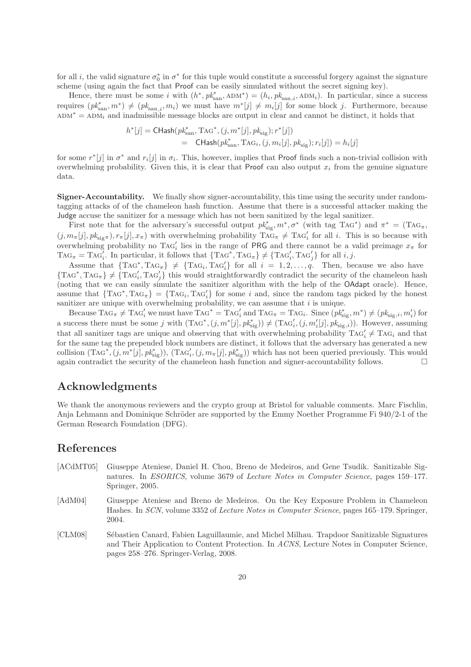for all *i*, the valid signature  $\sigma_0^*$  in  $\sigma^*$  for this tuple would constitute a successful forgery against the signature scheme (using again the fact that Proof can be easily simulated without the secret signing key).

Hence, there must be some i with  $(h^*, p k_{\text{san}}^*, \text{ADM}^*) = (h_i, p k_{\text{san},i}, \text{ADM}_i)$ . In particular, since a success requires  $(pk_{\text{san}}^*, m^*) \neq (pk_{\text{san},i}, m_i)$  we must have  $m^*[j] \neq m_i[j]$  for some block j. Furthermore, because  $ADM^* = ADM_i$  and inadmissible message blocks are output in clear and cannot be distinct, it holds that

$$
\begin{aligned} h^*[j] = \text{CHash}(pk^*_{\text{san}}, \text{TAG}^*, (j, m^*[j], pk_{\text{sig}}); r^*[j]) \\ = \quad & \text{CHash}(pk^*_{\text{san}}, \text{TAG}_i, (j, m_i[j], pk_{\text{sig}}); r_i[j]) = h_i[j] \end{aligned}
$$

for some  $r^*[j]$  in  $\sigma^*$  and  $r_i[j]$  in  $\sigma_i$ . This, however, implies that Proof finds such a non-trivial collision with overwhelming probability. Given this, it is clear that Proof can also output  $x_i$  from the genuine signature data.

Signer-Accountability. We finally show signer-accountability, this time using the security under randomtagging attacks of of the chameleon hash function. Assume that there is a successful attacker making the Judge accuse the sanitizer for a message which has not been sanitized by the legal sanitizer.

First note that for the adversary's successful output  $pk_{sig}^*, m^*, \sigma^*$  (with tag TAG<sup>\*</sup>) and  $\pi^* = (\text{TAG}_{\pi},$  $(j, m_{\pi}[j], p k_{\text{sig}\pi}), r_{\pi}[j], x_{\pi}$  with overwhelming probability  $\text{TAG}_{\pi} \neq \text{TAG}'_i$  for all i. This is so because with overwhelming probability no TAG'<sub>i</sub> lies in the range of PRG and there cannot be a valid preimage  $x_{\pi}$  for  $\text{TAG}_{\pi} = \text{TAG}'_i$ . In particular, it follows that  $\{\text{TAG}^*, \text{TAG}_{\pi}\} \neq \{\text{TAG}'_i, \text{TAG}'_j\}$  for all  $i, j$ .

Assume that  $\{TaG^*, TAG_{\pi}\} \neq \{TAG_i, TAG'_i\}$  for all  $i = 1, 2, ..., q$ . Then, because we also have  $\{TaG^*, TAG_\pi\} \neq \{TAG'_i, TAG'_j\}$  this would straightforwardly contradict the security of the chameleon hash (noting that we can easily simulate the sanitizer algorithm with the help of the OAdapt oracle). Hence, assume that  $\{TAG^*, TAG_\pi\} = \{TAG_i, TAG'_i\}$  for some i and, since the random tags picked by the honest sanitizer are unique with overwhelming probability, we can assume that  $i$  is unique.

Because  $\text{Tag}_\pi \neq \text{Tag}_i'$  we must have  $\text{Tag}^* = \text{TAG}_i'$  and  $\text{Tag}_\pi = \text{TAG}_i$ . Since  $\left(\overline{pk}_{\text{sig}}^*, m^*\right) \neq \left(\overline{pk}_{\text{sig},i}, m_i'\right)$  for a success there must be some j with  $(TAG^*, (j, m^*[j], pk^*_{sig})) \neq (TAG'_i, (j, m'_i[j], pk^*_{sig,i}))$ . However, assuming that all sanitizer tags are unique and observing that with overwhelming probability  $TAG'_i \neq TAG_i$  and that for the same tag the prepended block numbers are distinct, it follows that the adversary has generated a new collision  $(\text{TAG}^*,(j,m^*[j],pk^*_{sig}))$ ,  $(\text{TAG}'_i,(j,m_{\pi}[j],pk^*_{sig}))$  which has not been queried previously. This would again contradict the security of the chameleon hash function and signer-accountability follows.  $\Box$ 

### Acknowledgments

We thank the anonymous reviewers and the crypto group at Bristol for valuable comments. Marc Fischlin, Anja Lehmann and Dominique Schröder are supported by the Emmy Noether Programme Fi 940/2-1 of the German Research Foundation (DFG).

### References

- [ACdMT05] Giuseppe Ateniese, Daniel H. Chou, Breno de Medeiros, and Gene Tsudik. Sanitizable Signatures. In ESORICS, volume 3679 of Lecture Notes in Computer Science, pages 159–177. Springer, 2005.
- [AdM04] Giuseppe Ateniese and Breno de Medeiros. On the Key Exposure Problem in Chameleon Hashes. In SCN, volume 3352 of Lecture Notes in Computer Science, pages 165–179. Springer, 2004.
- [CLM08] S´ebastien Canard, Fabien Laguillaumie, and Michel Milhau. Trapdoor Sanitizable Signatures and Their Application to Content Protection. In ACNS, Lecture Notes in Computer Science, pages 258–276. Springer-Verlag, 2008.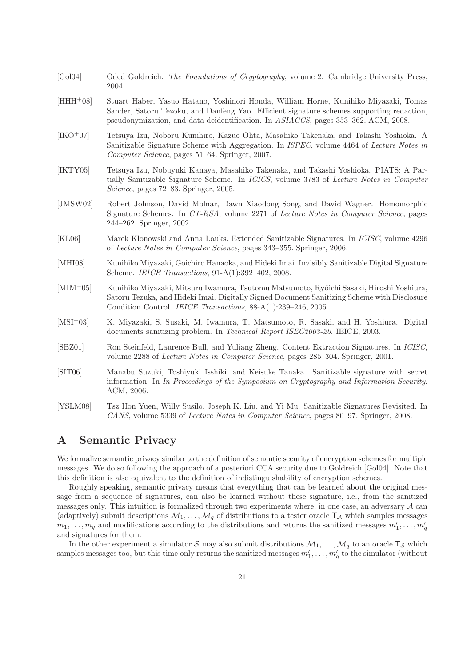- [Gol04] Oded Goldreich. The Foundations of Cryptography, volume 2. Cambridge University Press, 2004.
- [HHH<sup>+</sup>08] Stuart Haber, Yasuo Hatano, Yoshinori Honda, William Horne, Kunihiko Miyazaki, Tomas Sander, Satoru Tezoku, and Danfeng Yao. Efficient signature schemes supporting redaction, pseudonymization, and data deidentification. In ASIACCS, pages 353–362. ACM, 2008.
- [IKO<sup>+</sup>07] Tetsuya Izu, Noboru Kunihiro, Kazuo Ohta, Masahiko Takenaka, and Takashi Yoshioka. A Sanitizable Signature Scheme with Aggregation. In ISPEC, volume 4464 of Lecture Notes in Computer Science, pages 51–64. Springer, 2007.
- [IKTY05] Tetsuya Izu, Nobuyuki Kanaya, Masahiko Takenaka, and Takashi Yoshioka. PIATS: A Partially Sanitizable Signature Scheme. In ICICS, volume 3783 of Lecture Notes in Computer Science, pages 72–83. Springer, 2005.
- [JMSW02] Robert Johnson, David Molnar, Dawn Xiaodong Song, and David Wagner. Homomorphic Signature Schemes. In CT-RSA, volume 2271 of Lecture Notes in Computer Science, pages 244–262. Springer, 2002.
- [KL06] Marek Klonowski and Anna Lauks. Extended Sanitizable Signatures. In ICISC, volume 4296 of Lecture Notes in Computer Science, pages 343–355. Springer, 2006.
- [MHI08] Kunihiko Miyazaki, Goichiro Hanaoka, and Hideki Imai. Invisibly Sanitizable Digital Signature Scheme. IEICE Transactions, 91-A(1):392–402, 2008.
- [MIM<sup>+</sup>05] Kunihiko Miyazaki, Mitsuru Iwamura, Tsutomu Matsumoto, Ryôichi Sasaki, Hiroshi Yoshiura, Satoru Tezuka, and Hideki Imai. Digitally Signed Document Sanitizing Scheme with Disclosure Condition Control. IEICE Transactions, 88-A(1):239–246, 2005.
- [MSI<sup>+</sup>03] K. Miyazaki, S. Susaki, M. Iwamura, T. Matsumoto, R. Sasaki, and H. Yoshiura. Digital documents sanitizing problem. In Technical Report ISEC2003-20. IEICE, 2003.
- [SBZ01] Ron Steinfeld, Laurence Bull, and Yuliang Zheng. Content Extraction Signatures. In ICISC, volume 2288 of Lecture Notes in Computer Science, pages 285–304. Springer, 2001.
- [SIT06] Manabu Suzuki, Toshiyuki Isshiki, and Keisuke Tanaka. Sanitizable signature with secret information. In In Proceedings of the Symposium on Cryptography and Information Security. ACM, 2006.
- [YSLM08] Tsz Hon Yuen, Willy Susilo, Joseph K. Liu, and Yi Mu. Sanitizable Signatures Revisited. In CANS, volume 5339 of Lecture Notes in Computer Science, pages 80–97. Springer, 2008.

### A Semantic Privacy

We formalize semantic privacy similar to the definition of semantic security of encryption schemes for multiple messages. We do so following the approach of a posteriori CCA security due to Goldreich [Gol04]. Note that this definition is also equivalent to the definition of indistinguishability of encryption schemes.

Roughly speaking, semantic privacy means that everything that can be learned about the original message from a sequence of signatures, can also be learned without these signature, i.e., from the sanitized messages only. This intuition is formalized through two experiments where, in one case, an adversary  $A$  can (adaptively) submit descriptions  $M_1, \ldots, M_q$  of distributions to a tester oracle  $T_A$  which samples messages  $m_1, \ldots, m_q$  and modifications according to the distributions and returns the sanitized messages  $m'_1, \ldots, m'_q$ and signatures for them.

In the other experiment a simulator S may also submit distributions  $\mathcal{M}_1, \ldots, \mathcal{M}_q$  to an oracle  $\mathsf{T}_{\mathcal{S}}$  which samples messages too, but this time only returns the sanitized messages  $m'_1, \ldots, m'_q$  to the simulator (without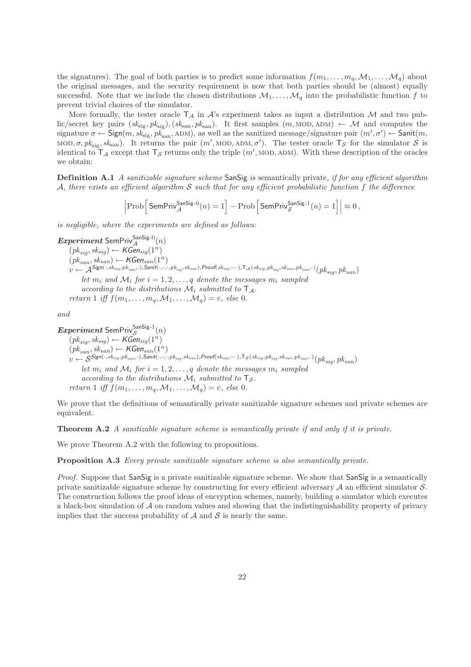the signatures). The goal of both parties is to predict some information  $f(m_1, \ldots, m_q, \mathcal{M}_1, \ldots, \mathcal{M}_q)$  about the original messages, and the security requirement is now that both parties should be (almost) equally successful. Note that we include the chosen distributions  $M_1, \ldots, M_q$  into the probabilistic function f to prevent trivial choices of the simulator.

More formally, the tester oracle  $T_A$  in  $\mathcal{A}$ 's experiment takes as input a distribution  $\mathcal{M}$  and two public/secret key pairs  $(s_{\text{sig}}, p_{\text{sig}})$ ,  $(s_{\text{stan}}, p_{\text{San}})$ . It first samples  $(m, \text{MOD}, \text{ADM}) \leftarrow \mathcal{M}$  and computes the signature  $\sigma \leftarrow \textsf{Sign}(m, sk_{\text{sig}}, p_{k_{\text{san}}}^S, \text{ADM})$ , as well as the sanitized message/signature pair  $(m', \sigma') \leftarrow \textsf{Sanit}(m, k_{\text{sig}}, p_{k_{\text{san}}}^S, \text{ADM})$ MOD,  $\sigma$ ,  $pk_{sig}$ ,  $sk_{san}$ ). It returns the pair  $(m', \text{MOD}, \text{ADM}, \sigma')$ . The tester oracle  $T_S$  for the simulator  $S$  is identical to  $T_A$  except that  $T_S$  returns only the triple  $(m', \text{MOD}, \text{ADM})$ . With these description of the oracles we obtain:

**Definition A.1** A sanitizable signature scheme SanSig is semantically private, if for any efficient algorithm A, there exists an efficient algorithm S such that for any efficient probabilistic function f the difference

$$
\left|\text{Prob}\left[\text{SemPriv}_{\mathcal{A}}^{\text{SanSig-0}}(n) = 1\right] - \text{Prob}\left[\text{SemPriv}_{\mathcal{S}}^{\text{SanSig-1}}(n) = 1\right]\right| \approx 0,
$$

is negligible, where the experiments are defined as follows:

Experiment SemPriv $_{\mathcal{A}}^{\mathsf{SanSig-0}}(n)$  $(pk_{sig}, sk_{sig}) \leftarrow KGen_{sig}(1^n)$  $(pk_{san}, sk_{san}) \leftarrow KGen_{san}(1^n)$  $v \leftarrow \mathcal{A}^{\mathsf{Sign}(\cdot, sk_{sig}, pk_{san}, \cdot), \mathsf{Sanit}(\cdot, \cdot, \cdot, pk_{sig}, sk_{san}), \mathsf{Proof}(sk_{sig}, \cdots), \mathsf{T}_{\mathcal{A}}(sk_{sig}, pk_{sig}, sk_{san}, pk_{san}, \cdot)} \left(pk_{sig}, pk_{san}\right)$ let  $m_i$  and  $\mathcal{M}_i$  for  $i = 1, 2, \ldots, q$  denote the messages  $m_i$  sampled according to the distributions  $\mathcal{M}_i$  submitted to  $\mathsf{T}_\mathcal{A}$ . return 1 iff  $f(m_1, \ldots, m_q, \mathcal{M}_1, \ldots, \mathcal{M}_q) = v$ , else 0.

and

Experiment SemPriv ${}_{\mathcal{S}}^{\mathsf{SanSig-1}}(n)$  $(pk_{sia}, sk_{sig}) \leftarrow KGen_{sig}(1^n)$  $(pk_{san}, sk_{san}) \leftarrow KGen_{san}(1^n)$  $v \leftarrow \mathcal{S}^{\mathcal{S} \mathsf{ign}(\cdot, s k_{sig}, p k_{san}, \cdot)},$ Sanit $(\cdot, \cdot, \cdot, p k_{sig}, s k_{san}),$ Proof $(s k_{sig}, \cdots),$ T $s(s k_{sig}, p k_{sig}, s k_{san}, p k_{san}, \cdot)$   $\left( p k_{sig}, p k_{san} \right)$ let  $m_i$  and  $\mathcal{M}_i$  for  $i = 1, 2, \ldots, q$  denote the messages  $m_i$  sampled according to the distributions  $\mathcal{M}_i$  submitted to  $\mathsf{T}_{\mathcal{S}}$ . return 1 iff  $f(m_1, \ldots, m_q, \mathcal{M}_1, \ldots, \mathcal{M}_q) = v$ , else 0.

We prove that the definitions of semantically private sanitizable signature schemes and private schemes are equivalent.

Theorem A.2 A sanitizable signature scheme is semantically private if and only if it is private.

We prove Theorem A.2 with the following to propositions.

Proposition A.3 Every private sanitizable signature scheme is also semantically private.

Proof. Suppose that SanSig is a private sanitizable signature scheme. We show that SanSig is a semantically private sanitizable signature scheme by constructing for every efficient adversary A an efficient simulator S. The construction follows the proof ideas of encryption schemes, namely, building a simulator which executes a black-box simulation of  $A$  on random values and showing that the indistinguishability property of privacy implies that the success probability of  $A$  and  $S$  is nearly the same.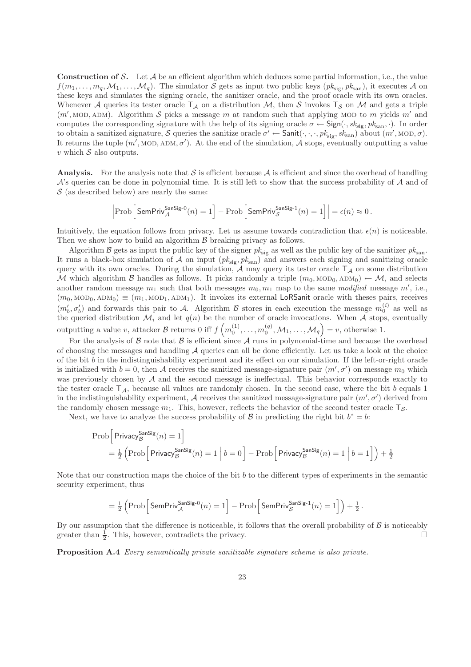**Construction of S.** Let  $\mathcal A$  be an efficient algorithm which deduces some partial information, i.e., the value  $f(m_1,\ldots,m_q,\mathcal{M}_1,\ldots,\mathcal{M}_q)$ . The simulator S gets as input two public keys  $(pk_{sig},pk_{san})$ , it executes A on these keys and simulates the signing oracle, the sanitizer oracle, and the proof oracle with its own oracles. Whenever A queries its tester oracle  $T_A$  on a distribution M, then S invokes  $T_S$  on M and gets a triple  $(m', \text{MOD}, \text{ADM})$ . Algorithm S picks a message m at random such that applying MOD to m yields m' and computes the corresponding signature with the help of its signing oracle  $\sigma \leftarrow \text{Sign}(\cdot, sk_{\text{sig}}, pk_{\text{san}}, \cdot)$ . In order to obtain a sanitized signature, S queries the sanitize oracle  $\sigma' \leftarrow$  Sanit $(\cdot, \cdot, \cdot, pk_{\text{sig}}, sk_{\text{san}})$  about  $(m', \text{MOD}, \sigma)$ . It returns the tuple  $(m', \text{MOD}, \text{ADM}, \sigma')$ . At the end of the simulation, A stops, eventually outputting a value v which  $S$  also outputs.

**Analysis.** For the analysis note that S is efficient because A is efficient and since the overhead of handling  $\mathcal{A}$ 's queries can be done in polynomial time. It is still left to show that the success probability of  $\mathcal{A}$  and of  $S$  (as described below) are nearly the same:

$$
\operatorname{Prob}\left[\operatorname{\sf SemPriv}_{\mathcal{A}}^{\operatorname{\sf SanSig-0}}(n)=1\right]-\operatorname{Prob}\left[\operatorname{\sf SemPriv}_{\mathcal{S}}^{\operatorname{\sf SanSig-1}}(n)=1\right]\right]=\epsilon(n)\approx 0\,.
$$

 $\bigg\}$  $\overline{\phantom{a}}$  $\mid$ 

Intuitively, the equation follows from privacy. Let us assume towards contradiction that  $\epsilon(n)$  is noticeable. Then we show how to build an algorithm  $\beta$  breaking privacy as follows.

Algorithm  $\beta$  gets as input the public key of the signer  $pk_{sig}$  as well as the public key of the sanitizer  $pk_{san}$ . It runs a black-box simulation of A on input  $(pk_{\text{sig}}, pk_{\text{san}})$  and answers each signing and sanitizing oracle query with its own oracles. During the simulation,  $\mathcal A$  may query its tester oracle  $T_{\mathcal A}$  on some distribution M which algorithm B handles as follows. It picks randomly a triple  $(m_0, \text{MOD}_0, \text{ADM}_0) \leftarrow \mathcal{M}$ , and selects another random message  $m_1$  such that both messages  $m_0, m_1$  map to the same modified message m', i.e.,  $(m_0, \text{MOD}_0, \text{ADM}_0) \equiv (m_1, \text{MOD}_1, \text{ADM}_1)$ . It invokes its external LoRSanit oracle with theses pairs, receives  $(m'_b, \sigma'_b)$  and forwards this pair to A. Algorithm B stores in each execution the message  $m_0^{(i)}$  as well as the queried distribution  $\mathcal{M}_i$  and let  $q(n)$  be the number of oracle invocations. When A stops, eventually outputting a value v, attacker B returns 0 iff  $f\left(m_0^{(1)}, \ldots, m_0^{(q)}, \mathcal{M}_1, \ldots, \mathcal{M}_q\right) = v$ , otherwise 1.

For the analysis of  $\beta$  note that  $\beta$  is efficient since  $\mathcal A$  runs in polynomial-time and because the overhead of choosing the messages and handling  $A$  queries can all be done efficiently. Let us take a look at the choice of the bit  $b$  in the indistinguishability experiment and its effect on our simulation. If the left-or-right oracle is initialized with  $b = 0$ , then A receives the sanitized message-signature pair  $(m', \sigma')$  on message  $m_0$  which was previously chosen by  $A$  and the second message is ineffectual. This behavior corresponds exactly to the tester oracle  $T_A$ , because all values are randomly chosen. In the second case, where the bit b equals 1 in the indistinguishability experiment, A receives the sanitized message-signature pair  $(m', \sigma')$  derived from the randomly chosen message  $m_1$ . This, however, reflects the behavior of the second tester oracle  $\mathsf{T}_{\mathcal{S}}$ .

Next, we have to analyze the success probability of  $\beta$  in predicting the right bit  $b^* = b$ :

$$
\begin{aligned} \text{Prob}\Big[\text{Privacy}_{\mathcal{B}}^{\text{SanSig}}(n) = 1\Big] \\ &= \frac{1}{2} \left(\text{Prob}\Big[\text{Privacy}_{\mathcal{B}}^{\text{SanSig}}(n) = 1 \Big| b = 0\Big] - \text{Prob}\Big[\text{Privacy}_{\mathcal{B}}^{\text{SanSig}}(n) = 1 \Big| b = 1\Big]\right) + \frac{1}{2} \end{aligned}
$$

Note that our construction maps the choice of the bit b to the different types of experiments in the semantic security experiment, thus

$$
= \frac{1}{2} \left( \text{Prob} \left[ \text{SemPriv}_{\mathcal{A}}^{\text{SanSig-0}}(n) = 1 \right] - \text{Prob} \left[ \text{SemPriv}_{\mathcal{S}}^{\text{SanSig-1}}(n) = 1 \right] \right) + \frac{1}{2} \, .
$$

By our assumption that the difference is noticeable, it follows that the overall probability of  $\beta$  is noticeably greater than  $\frac{1}{2}$ . This, however, contradicts the privacy.

Proposition A.4 Every semantically private sanitizable signature scheme is also private.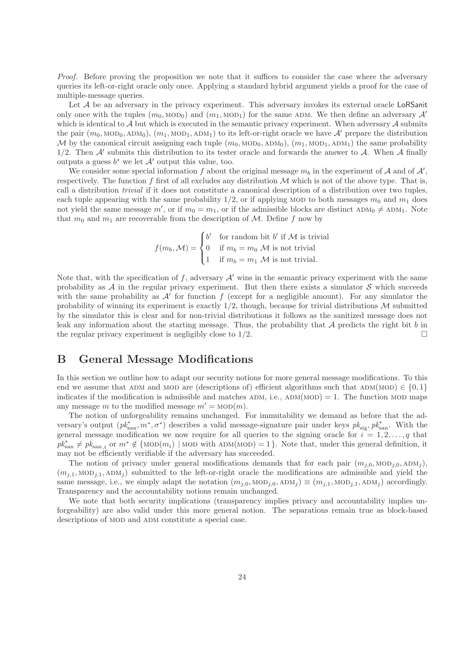Proof. Before proving the proposition we note that it suffices to consider the case where the adversary queries its left-or-right oracle only once. Applying a standard hybrid argument yields a proof for the case of multiple-message queries.

Let A be an adversary in the privacy experiment. This adversary invokes its external oracle LoRSanit only once with the tuples  $(m_0, \text{MOD}_0)$  and  $(m_1, \text{MOD}_1)$  for the same ADM. We then define an adversary  $\mathcal{A}'$ which is identical to  $A$  but which is executed in the semantic privacy experiment. When adversary  $A$  submits the pair  $(m_0, \text{MOD}_0, \text{ADM}_0), (m_1, \text{MOD}_1, \text{ADM}_1)$  to its left-or-right oracle we have A' prepare the distribution M by the canonical circuit assigning each tuple  $(m_0, \text{MOD}_0, \text{ADM}_0), (m_1, \text{MOD}_1, \text{ADM}_1)$  the same probability  $1/2$ . Then A' submits this distribution to its tester oracle and forwards the answer to A. When A finally outputs a guess  $b^*$  we let  $\mathcal{A}'$  output this value, too.

We consider some special information f about the original message  $m_b$  in the experiment of A and of  $\mathcal{A}'$ , respectively. The function f first of all excludes any distribution  $\mathcal M$  which is not of the above type. That is, call a distribution trivial if it does not constitute a canonical description of a distribution over two tuples, each tuple appearing with the same probability  $1/2$ , or if applying MOD to both messages  $m_0$  and  $m_1$  does not yield the same message m', or if  $m_0 = m_1$ , or if the admissible blocks are distinct  $ADM_0 \neq ADM_1$ . Note that  $m_0$  and  $m_1$  are recoverable from the description of M. Define f now by

$$
f(m_b, \mathcal{M}) = \begin{cases} b' & \text{for random bit } b' \text{ if } \mathcal{M} \text{ is trivial} \\ 0 & \text{if } m_b = m_0 \mathcal{M} \text{ is not trivial} \\ 1 & \text{if } m_b = m_1 \mathcal{M} \text{ is not trivial.} \end{cases}
$$

Note that, with the specification of f, adversary  $\mathcal{A}'$  wins in the semantic privacy experiment with the same probability as  $A$  in the regular privacy experiment. But then there exists a simulator  $S$  which succeeds with the same probability as  $A'$  for function f (except for a negligible amount). For any simulator the probability of winning its experiment is exactly  $1/2$ , though, because for trivial distributions M submitted by the simulator this is clear and for non-trivial distributions it follows as the sanitized message does not leak any information about the starting message. Thus, the probability that  $A$  predicts the right bit  $b$  in the regular privacy experiment is negligibly close to  $1/2$ .

### B General Message Modifications

In this section we outline how to adapt our security notions for more general message modifications. To this end we assume that ADM and MOD are (descriptions of) efficient algorithms such that  $ADM(MOD) \in \{0, 1\}$ indicates if the modification is admissible and matches ADM, i.e.,  $\Delta$ DM(MOD) = 1. The function MOD maps any message m to the modified message  $m' = \text{MOD}(m)$ .

The notion of unforgeability remains unchanged. For immutability we demand as before that the adversary's output  $(pk_{\text{san}}^*, m^*, \sigma^*)$  describes a valid message-signature pair under keys  $pk_{\text{sig}}$ ,  $pk_{\text{san}}^*$ . With the general message modification we now require for all queries to the signing oracle for  $i = 1, 2, \ldots, q$  that  $p_{k_{\text{san}}^{*}} \neq p_{k_{\text{san},i}}$  or  $m^{*} \notin \{\text{MOD}(m_i) \mid \text{MOD with ADM(MOD)} = 1\}$ . Note that, under this general definition, it may not be efficiently verifiable if the adversary has succeeded.

The notion of privacy under general modifications demands that for each pair  $(m_{i,0}, \text{MOD}_{i,0}, \text{ADM}_{i})$ ,  $(m_{i,1}, \text{MOD}_{i,1}, \text{ADM}_i)$  submitted to the left-or-right oracle the modifications are admissible and yield the same message, i.e., we simply adapt the notation  $(m_{j,0}, \text{MOD}_{j,0}, \text{ADM}_{j}) \equiv (m_{j,1}, \text{MOD}_{j,1}, \text{ADM}_{j})$  accordingly. Transparency and the accountability notions remain unchanged.

We note that both security implications (transparency implies privacy and accountability implies unforgeability) are also valid under this more general notion. The separations remain true as block-based descriptions of MOD and ADM constitute a special case.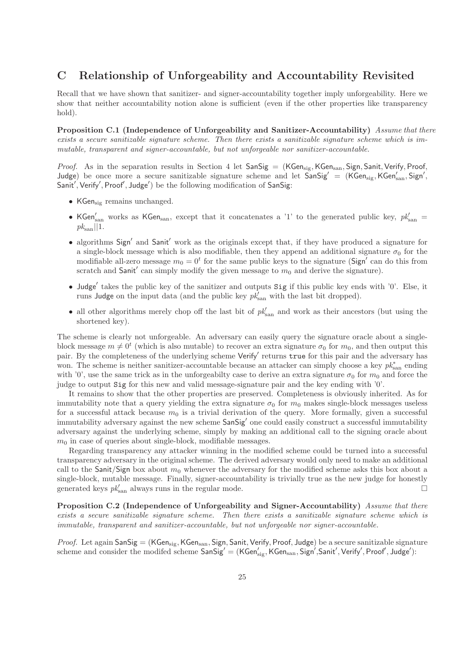## C Relationship of Unforgeability and Accountability Revisited

Recall that we have shown that sanitizer- and signer-accountability together imply unforgeability. Here we show that neither accountability notion alone is sufficient (even if the other properties like transparency hold).

Proposition C.1 (Independence of Unforgeability and Sanitizer-Accountability) Assume that there exists a secure sanitizable signature scheme. Then there exists a sanitizable signature scheme which is immutable, transparent and signer-accountable, but not unforgeable nor sanitizer-accountable.

Proof. As in the separation results in Section 4 let  $SanSig = (KGen_{\text{sig}}, KGen_{\text{san}}, Sign, Sanit, Verify, Proof,$ Judge) be once more a secure sanitizable signature scheme and let  $\text{Sansig}' = (\text{KGen}_{\text{sig}}, \text{KGen}_{\text{san}}', \text{Sign}',$ Sanit', Verify', Proof', Judge') be the following modification of SanSig:

- K $Gen_{\text{sig}}$  remains unchanged.
- KGen'<sub>san</sub> works as KGen<sub>san</sub>, except that it concatenates a '1' to the generated public key,  $pk'_{\text{san}} =$  $pk_{\text{san}}||1.$
- algorithms Sign' and Sanit' work as the originals except that, if they have produced a signature for a single-block message which is also modifiable, then they append an additional signature  $\sigma_0$  for the modifiable all-zero message  $m_0 = 0^t$  for the same public keys to the signature (Sign<sup>'</sup> can do this from scratch and Sanit' can simply modify the given message to  $m_0$  and derive the signature).
- Judge′ takes the public key of the sanitizer and outputs Sig if this public key ends with '0'. Else, it runs Judge on the input data (and the public key  $p\vec{k'_{\rm san}}$  with the last bit dropped).
- all other algorithms merely chop off the last bit of  $pk'_{\text{san}}$  and work as their ancestors (but using the shortened key).

The scheme is clearly not unforgeable. An adversary can easily query the signature oracle about a singleblock message  $m \neq 0^t$  (which is also mutable) to recover an extra signature  $\sigma_0$  for  $m_0$ , and then output this pair. By the completeness of the underlying scheme Verify' returns true for this pair and the adversary has won. The scheme is neither sanitizer-accountable because an attacker can simply choose a key  $pk_{\text{san}}^*$  ending with '0', use the same trick as in the unforgeabilty case to derive an extra signature  $\sigma_0$  for  $m_0$  and force the judge to output Sig for this new and valid message-signature pair and the key ending with '0'.

It remains to show that the other properties are preserved. Completeness is obviously inherited. As for immutability note that a query yielding the extra signature  $\sigma_0$  for  $m_0$  makes single-block messages useless for a successful attack because  $m_0$  is a trivial derivation of the query. More formally, given a successful immutability adversary against the new scheme SanSig' one could easily construct a successful immutability adversary against the underlying scheme, simply by making an additional call to the signing oracle about  $m_0$  in case of queries about single-block, modifiable messages.

Regarding transparency any attacker winning in the modified scheme could be turned into a successful transparency adversary in the original scheme. The derived adversary would only need to make an additional call to the Sanit/Sign box about  $m_0$  whenever the adversary for the modified scheme asks this box about a single-block, mutable message. Finally, signer-accountability is trivially true as the new judge for honestly generated keys  $pk'_{\text{san}}$  always runs in the regular mode.

Proposition C.2 (Independence of Unforgeability and Signer-Accountability) Assume that there exists a secure sanitizable signature scheme. Then there exists a sanitizable signature scheme which is immutable, transparent and sanitizer-accountable, but not unforgeable nor signer-accountable.

Proof. Let again  $\mathsf{SanSig} = (\mathsf{KGen}_\text{sig},\mathsf{KGen}_\text{san},\mathsf{Sign},\mathsf{Sanit},\mathsf{Verify},\mathsf{Proof},\mathsf{Judge})$  be a secure sanitizable signature  $s$ cheme and consider the modifed scheme  $\overline{S}$ anSig' = (KGen'<sub>sig</sub>, KGen<sub>san</sub>, Sign', Sanit', Verify', Proof', Judge'):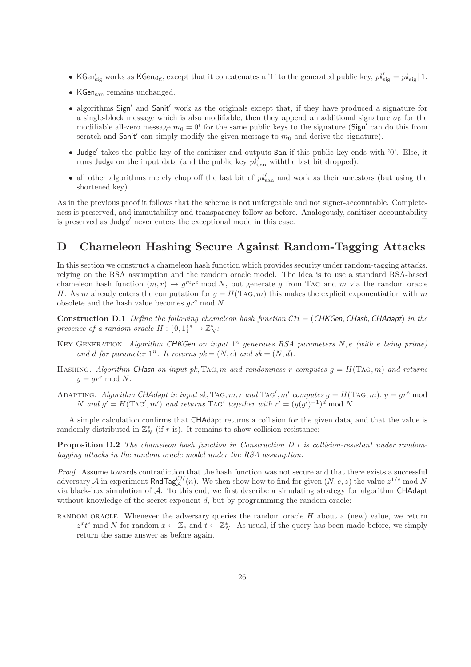- KGen'<sub>sig</sub> works as KGen<sub>sig</sub>, except that it concatenates a '1' to the generated public key,  $pk'_{sig} = pk_{sig}||1$ .
- $KGen<sub>san</sub> remains unchanged.$
- algorithms Sign' and Sanit' work as the originals except that, if they have produced a signature for a single-block message which is also modifiable, then they append an additional signature  $\sigma_0$  for the modifiable all-zero message  $m_0 = 0^t$  for the same public keys to the signature (Sign<sup>'</sup> can do this from scratch and Sanit' can simply modify the given message to  $m_0$  and derive the signature).
- Judge′ takes the public key of the sanitizer and outputs San if this public key ends with '0'. Else, it runs Judge on the input data (and the public key  $p\vec{k'_{\rm san}}$  with the last bit dropped).
- all other algorithms merely chop off the last bit of  $pk'_{\text{san}}$  and work as their ancestors (but using the shortened key).

As in the previous proof it follows that the scheme is not unforgeable and not signer-accountable. Completeness is preserved, and immutability and transparency follow as before. Analogously, sanitizer-accountability is preserved as Judge′ never enters the exceptional mode in this case.

# D Chameleon Hashing Secure Against Random-Tagging Attacks

In this section we construct a chameleon hash function which provides security under random-tagging attacks, relying on the RSA assumption and the random oracle model. The idea is to use a standard RSA-based chameleon hash function  $(m, r) \mapsto g^m r^e \mod N$ , but generate g from TAG and m via the random oracle H. As m already enters the computation for  $g = H(\text{TAG}, m)$  this makes the explicit exponentiation with m obsolete and the hash value becomes  $gr^e \mod N$ .

Construction D.1 Define the following chameleon hash function  $\mathcal{CH} = (CHKGen, CHash, CHAdapt)$  in the presence of a random oracle  $H: \{0,1\}^* \to \mathbb{Z}_N^*$ :

- KEY GENERATION. Algorithm CHKGen on input  $1^n$  generates RSA parameters N, e (with e being prime) and d for parameter  $1^n$ . It returns  $pk = (N, e)$  and  $sk = (N, d)$ .
- HASHING. Algorithm CHash on input pk, TAG, m and randomness r computes  $q = H(TAG, m)$  and returns  $y = qr^e \mod N$ .
- ADAPTING. Algorithm CHAdapt in input sk, TAG, m, r and TAG', m' computes  $g = H(\text{TAG}, m)$ ,  $y = gr^e \text{ mod }$ N and  $g' = H(\text{TAG}', m')$  and returns  $\text{TAG}'$  together with  $r' = (y(g')^{-1})^d \mod N$ .

A simple calculation confirms that CHAdapt returns a collision for the given data, and that the value is randomly distributed in  $\mathbb{Z}_N^*$  (if r is). It remains to show collision-resistance:

Proposition D.2 The chameleon hash function in Construction D.1 is collision-resistant under randomtagging attacks in the random oracle model under the RSA assumption.

Proof. Assume towards contradiction that the hash function was not secure and that there exists a successful adversary A in experiment RndTag $_{\mathcal{A}}^{\mathcal{CH}}(n)$ . We then show how to find for given  $(N, e, z)$  the value  $z^{1/e}$  mod N via black-box simulation of A. To this end, we first describe a simulating strategy for algorithm CHAdapt without knowledge of the secret exponent  $d$ , but by programming the random oracle:

RANDOM ORACLE. Whenever the adversary queries the random oracle  $H$  about a (new) value, we return  $z^x t^e \mod N$  for random  $x \leftarrow \mathbb{Z}_e$  and  $t \leftarrow \mathbb{Z}_N^*$ . As usual, if the query has been made before, we simply return the same answer as before again.